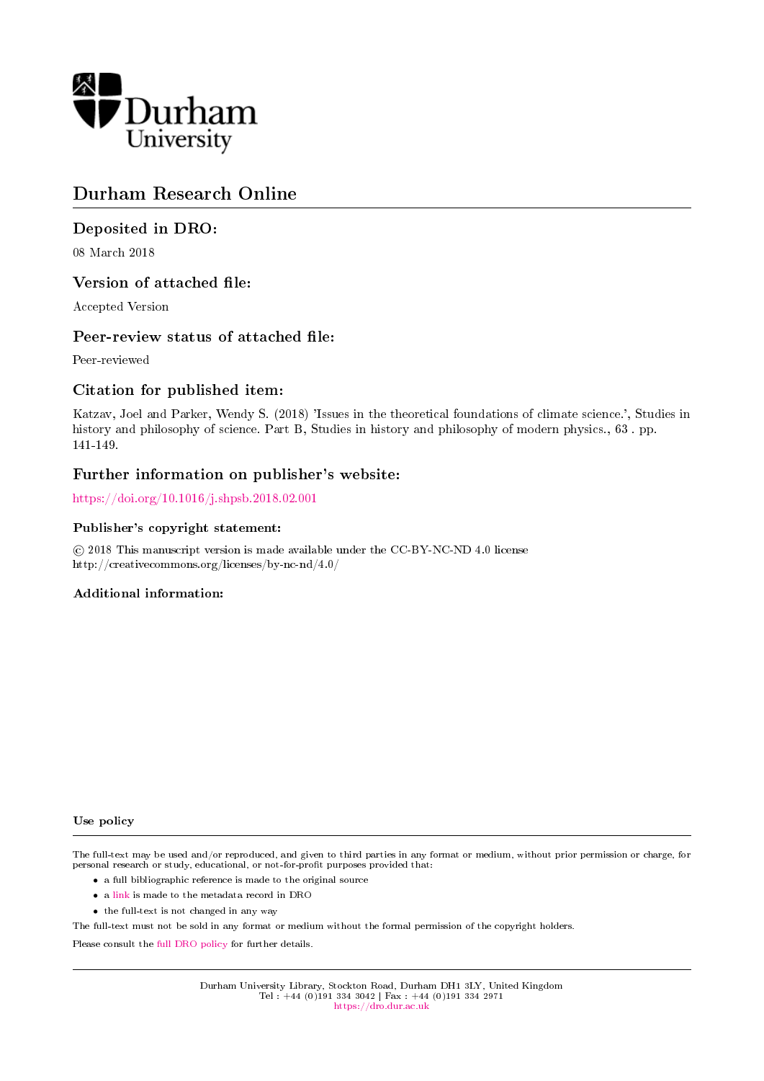

# Durham Research Online

# Deposited in DRO:

08 March 2018

# Version of attached file:

Accepted Version

# Peer-review status of attached file:

Peer-reviewed

# Citation for published item:

Katzav, Joel and Parker, Wendy S. (2018) 'Issues in the theoretical foundations of climate science.', Studies in history and philosophy of science. Part B, Studies in history and philosophy of modern physics., 63 . pp. 141-149.

# Further information on publisher's website:

<https://doi.org/10.1016/j.shpsb.2018.02.001>

#### Publisher's copyright statement:

 $\overline{c}$  2018 This manuscript version is made available under the CC-BY-NC-ND 4.0 license http://creativecommons.org/licenses/by-nc-nd/4.0/

#### Additional information:

#### Use policy

The full-text may be used and/or reproduced, and given to third parties in any format or medium, without prior permission or charge, for personal research or study, educational, or not-for-profit purposes provided that:

- a full bibliographic reference is made to the original source
- a [link](http://dro.dur.ac.uk/24254/) is made to the metadata record in DRO
- the full-text is not changed in any way

The full-text must not be sold in any format or medium without the formal permission of the copyright holders.

Please consult the [full DRO policy](https://dro.dur.ac.uk/policies/usepolicy.pdf) for further details.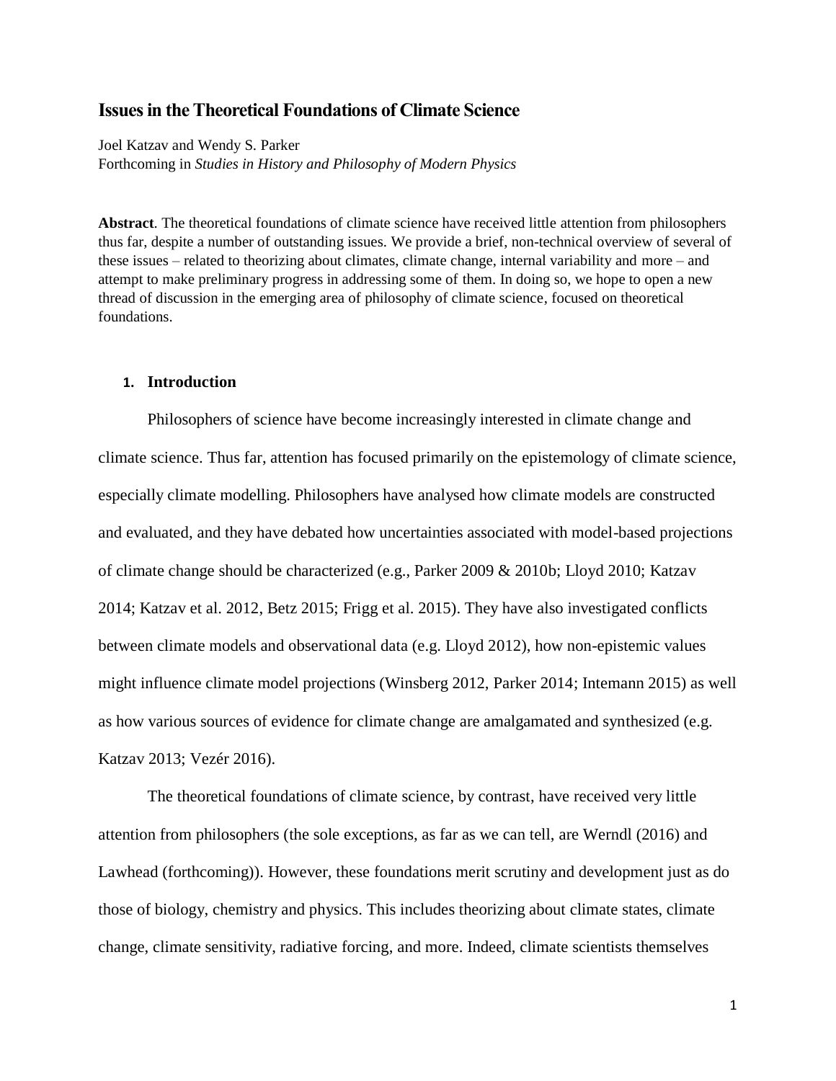### **Issues in the Theoretical Foundations of Climate Science**

Joel Katzav and Wendy S. Parker Forthcoming in *Studies in History and Philosophy of Modern Physics*

**Abstract**. The theoretical foundations of climate science have received little attention from philosophers thus far, despite a number of outstanding issues. We provide a brief, non-technical overview of several of these issues – related to theorizing about climates, climate change, internal variability and more – and attempt to make preliminary progress in addressing some of them. In doing so, we hope to open a new thread of discussion in the emerging area of philosophy of climate science, focused on theoretical foundations.

#### **1. Introduction**

Philosophers of science have become increasingly interested in climate change and climate science. Thus far, attention has focused primarily on the epistemology of climate science, especially climate modelling. Philosophers have analysed how climate models are constructed and evaluated, and they have debated how uncertainties associated with model-based projections of climate change should be characterized (e.g., Parker 2009 & 2010b; Lloyd 2010; Katzav 2014; Katzav et al. 2012, Betz 2015; Frigg et al. 2015). They have also investigated conflicts between climate models and observational data (e.g. Lloyd 2012), how non-epistemic values might influence climate model projections (Winsberg 2012, Parker 2014; Intemann 2015) as well as how various sources of evidence for climate change are amalgamated and synthesized (e.g. Katzav 2013; Vezér 2016).

The theoretical foundations of climate science, by contrast, have received very little attention from philosophers (the sole exceptions, as far as we can tell, are Werndl (2016) and Lawhead (forthcoming)). However, these foundations merit scrutiny and development just as do those of biology, chemistry and physics. This includes theorizing about climate states, climate change, climate sensitivity, radiative forcing, and more. Indeed, climate scientists themselves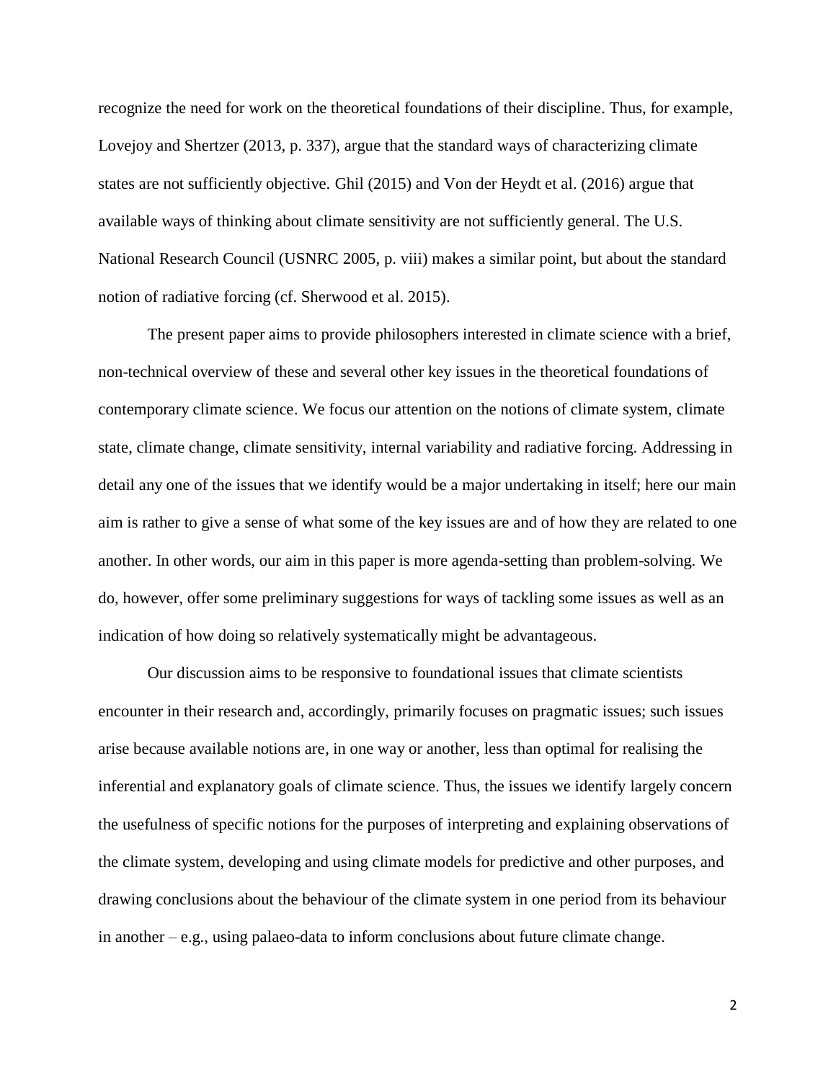recognize the need for work on the theoretical foundations of their discipline. Thus, for example, Lovejoy and Shertzer (2013, p. 337), argue that the standard ways of characterizing climate states are not sufficiently objective. Ghil (2015) and Von der Heydt et al. (2016) argue that available ways of thinking about climate sensitivity are not sufficiently general. The U.S. National Research Council (USNRC 2005, p. viii) makes a similar point, but about the standard notion of radiative forcing (cf. Sherwood et al. 2015).

The present paper aims to provide philosophers interested in climate science with a brief, non-technical overview of these and several other key issues in the theoretical foundations of contemporary climate science. We focus our attention on the notions of climate system, climate state, climate change, climate sensitivity, internal variability and radiative forcing. Addressing in detail any one of the issues that we identify would be a major undertaking in itself; here our main aim is rather to give a sense of what some of the key issues are and of how they are related to one another. In other words, our aim in this paper is more agenda-setting than problem-solving. We do, however, offer some preliminary suggestions for ways of tackling some issues as well as an indication of how doing so relatively systematically might be advantageous.

Our discussion aims to be responsive to foundational issues that climate scientists encounter in their research and, accordingly, primarily focuses on pragmatic issues; such issues arise because available notions are, in one way or another, less than optimal for realising the inferential and explanatory goals of climate science. Thus, the issues we identify largely concern the usefulness of specific notions for the purposes of interpreting and explaining observations of the climate system, developing and using climate models for predictive and other purposes, and drawing conclusions about the behaviour of the climate system in one period from its behaviour in another – e.g., using palaeo-data to inform conclusions about future climate change.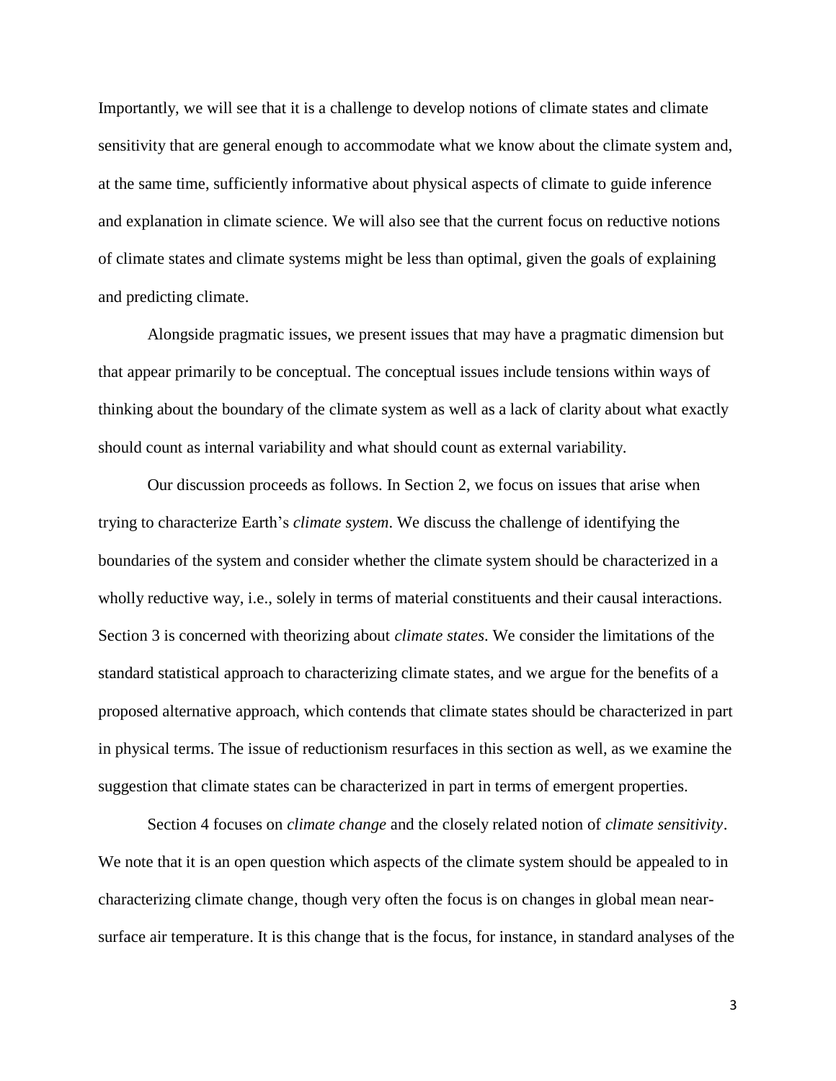Importantly, we will see that it is a challenge to develop notions of climate states and climate sensitivity that are general enough to accommodate what we know about the climate system and, at the same time, sufficiently informative about physical aspects of climate to guide inference and explanation in climate science. We will also see that the current focus on reductive notions of climate states and climate systems might be less than optimal, given the goals of explaining and predicting climate.

Alongside pragmatic issues, we present issues that may have a pragmatic dimension but that appear primarily to be conceptual. The conceptual issues include tensions within ways of thinking about the boundary of the climate system as well as a lack of clarity about what exactly should count as internal variability and what should count as external variability.

Our discussion proceeds as follows. In Section 2, we focus on issues that arise when trying to characterize Earth's *climate system*. We discuss the challenge of identifying the boundaries of the system and consider whether the climate system should be characterized in a wholly reductive way, i.e., solely in terms of material constituents and their causal interactions. Section 3 is concerned with theorizing about *climate states*. We consider the limitations of the standard statistical approach to characterizing climate states, and we argue for the benefits of a proposed alternative approach, which contends that climate states should be characterized in part in physical terms. The issue of reductionism resurfaces in this section as well, as we examine the suggestion that climate states can be characterized in part in terms of emergent properties.

Section 4 focuses on *climate change* and the closely related notion of *climate sensitivity*. We note that it is an open question which aspects of the climate system should be appealed to in characterizing climate change, though very often the focus is on changes in global mean nearsurface air temperature. It is this change that is the focus, for instance, in standard analyses of the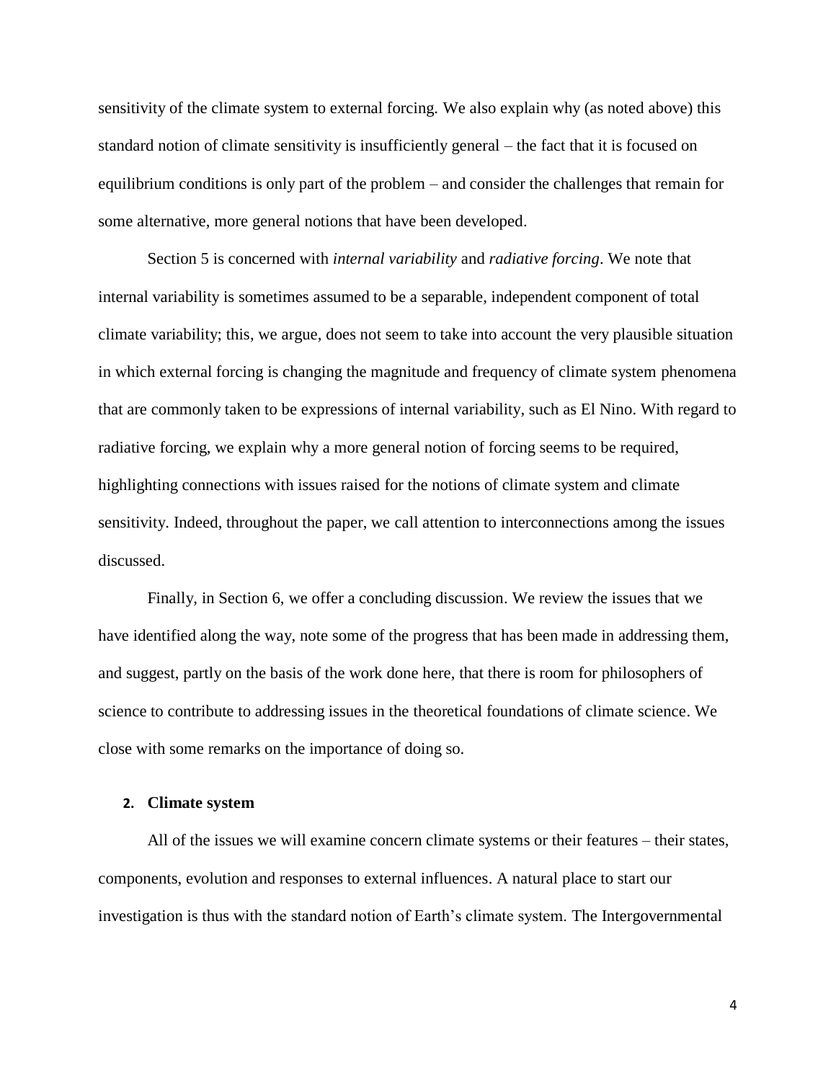sensitivity of the climate system to external forcing. We also explain why (as noted above) this standard notion of climate sensitivity is insufficiently general – the fact that it is focused on equilibrium conditions is only part of the problem – and consider the challenges that remain for some alternative, more general notions that have been developed.

Section 5 is concerned with *internal variability* and *radiative forcing*. We note that internal variability is sometimes assumed to be a separable, independent component of total climate variability; this, we argue, does not seem to take into account the very plausible situation in which external forcing is changing the magnitude and frequency of climate system phenomena that are commonly taken to be expressions of internal variability, such as El Nino. With regard to radiative forcing, we explain why a more general notion of forcing seems to be required, highlighting connections with issues raised for the notions of climate system and climate sensitivity. Indeed, throughout the paper, we call attention to interconnections among the issues discussed.

Finally, in Section 6, we offer a concluding discussion. We review the issues that we have identified along the way, note some of the progress that has been made in addressing them, and suggest, partly on the basis of the work done here, that there is room for philosophers of science to contribute to addressing issues in the theoretical foundations of climate science. We close with some remarks on the importance of doing so.

#### **2. Climate system**

All of the issues we will examine concern climate systems or their features – their states, components, evolution and responses to external influences. A natural place to start our investigation is thus with the standard notion of Earth's climate system. The Intergovernmental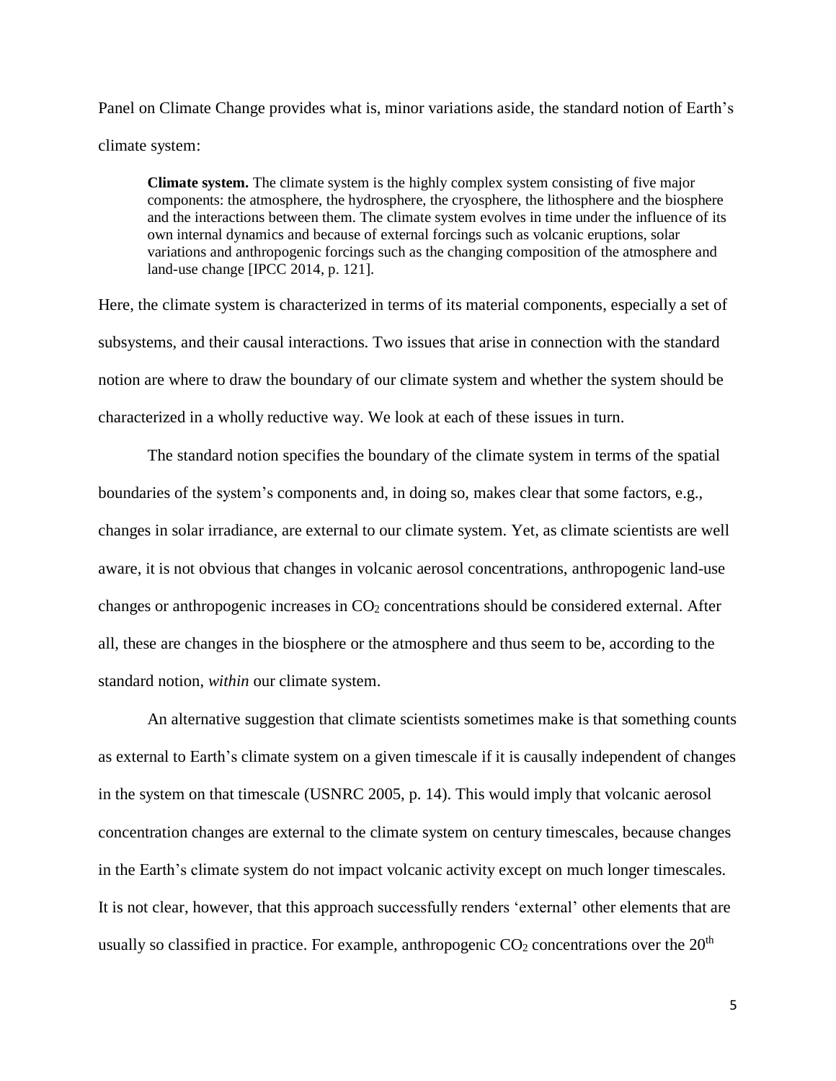Panel on Climate Change provides what is, minor variations aside, the standard notion of Earth's climate system:

**Climate system.** The climate system is the highly complex system consisting of five major components: the atmosphere, the hydrosphere, the cryosphere, the lithosphere and the biosphere and the interactions between them. The climate system evolves in time under the influence of its own internal dynamics and because of external forcings such as volcanic eruptions, solar variations and anthropogenic forcings such as the changing composition of the atmosphere and land-use change [IPCC 2014, p. 121].

Here, the climate system is characterized in terms of its material components, especially a set of subsystems, and their causal interactions. Two issues that arise in connection with the standard notion are where to draw the boundary of our climate system and whether the system should be characterized in a wholly reductive way. We look at each of these issues in turn.

The standard notion specifies the boundary of the climate system in terms of the spatial boundaries of the system's components and, in doing so, makes clear that some factors, e.g., changes in solar irradiance, are external to our climate system. Yet, as climate scientists are well aware, it is not obvious that changes in volcanic aerosol concentrations, anthropogenic land-use changes or anthropogenic increases in  $CO<sub>2</sub>$  concentrations should be considered external. After all, these are changes in the biosphere or the atmosphere and thus seem to be, according to the standard notion, *within* our climate system.

An alternative suggestion that climate scientists sometimes make is that something counts as external to Earth's climate system on a given timescale if it is causally independent of changes in the system on that timescale (USNRC 2005, p. 14). This would imply that volcanic aerosol concentration changes are external to the climate system on century timescales, because changes in the Earth's climate system do not impact volcanic activity except on much longer timescales. It is not clear, however, that this approach successfully renders 'external' other elements that are usually so classified in practice. For example, anthropogenic  $CO<sub>2</sub>$  concentrations over the  $20<sup>th</sup>$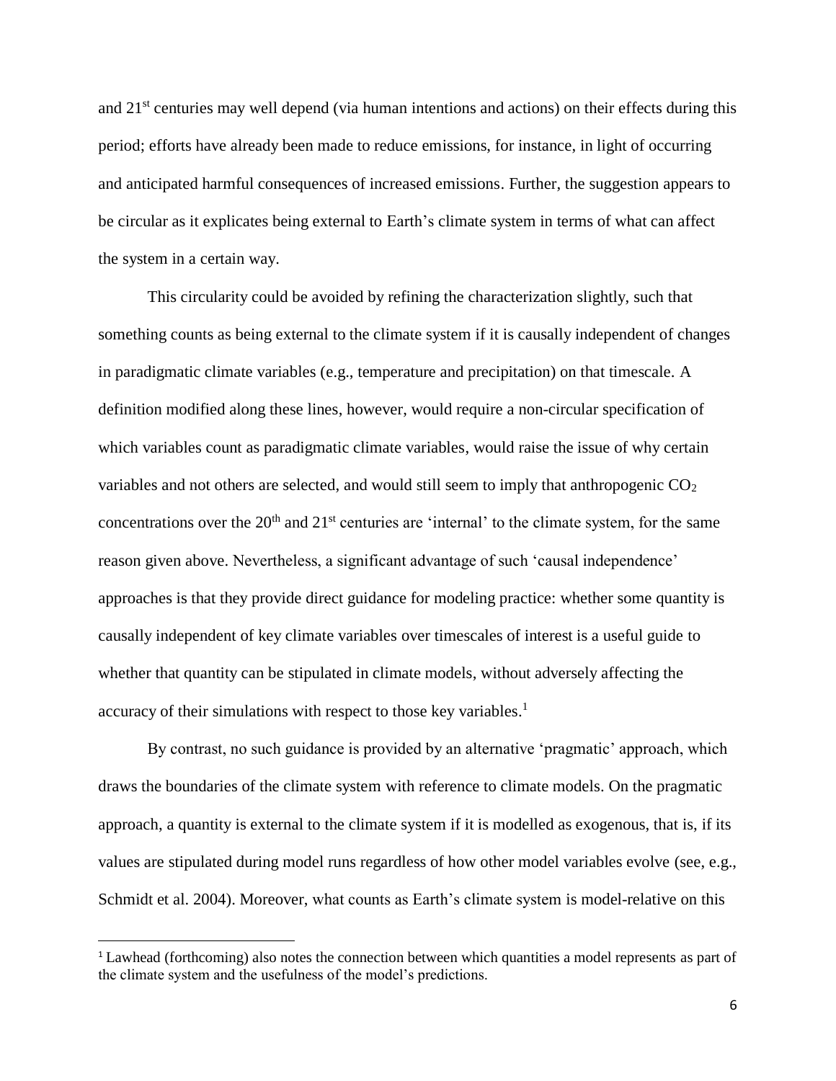and  $21<sup>st</sup>$  centuries may well depend (via human intentions and actions) on their effects during this period; efforts have already been made to reduce emissions, for instance, in light of occurring and anticipated harmful consequences of increased emissions. Further, the suggestion appears to be circular as it explicates being external to Earth's climate system in terms of what can affect the system in a certain way.

This circularity could be avoided by refining the characterization slightly, such that something counts as being external to the climate system if it is causally independent of changes in paradigmatic climate variables (e.g., temperature and precipitation) on that timescale. A definition modified along these lines, however, would require a non-circular specification of which variables count as paradigmatic climate variables, would raise the issue of why certain variables and not others are selected, and would still seem to imply that anthropogenic  $CO<sub>2</sub>$ concentrations over the  $20<sup>th</sup>$  and  $21<sup>st</sup>$  centuries are 'internal' to the climate system, for the same reason given above. Nevertheless, a significant advantage of such 'causal independence' approaches is that they provide direct guidance for modeling practice: whether some quantity is causally independent of key climate variables over timescales of interest is a useful guide to whether that quantity can be stipulated in climate models, without adversely affecting the accuracy of their simulations with respect to those key variables.<sup>1</sup>

By contrast, no such guidance is provided by an alternative 'pragmatic' approach, which draws the boundaries of the climate system with reference to climate models. On the pragmatic approach, a quantity is external to the climate system if it is modelled as exogenous, that is, if its values are stipulated during model runs regardless of how other model variables evolve (see, e.g., Schmidt et al. 2004). Moreover, what counts as Earth's climate system is model-relative on this

 $\overline{a}$ 

<sup>&</sup>lt;sup>1</sup> Lawhead (forthcoming) also notes the connection between which quantities a model represents as part of the climate system and the usefulness of the model's predictions.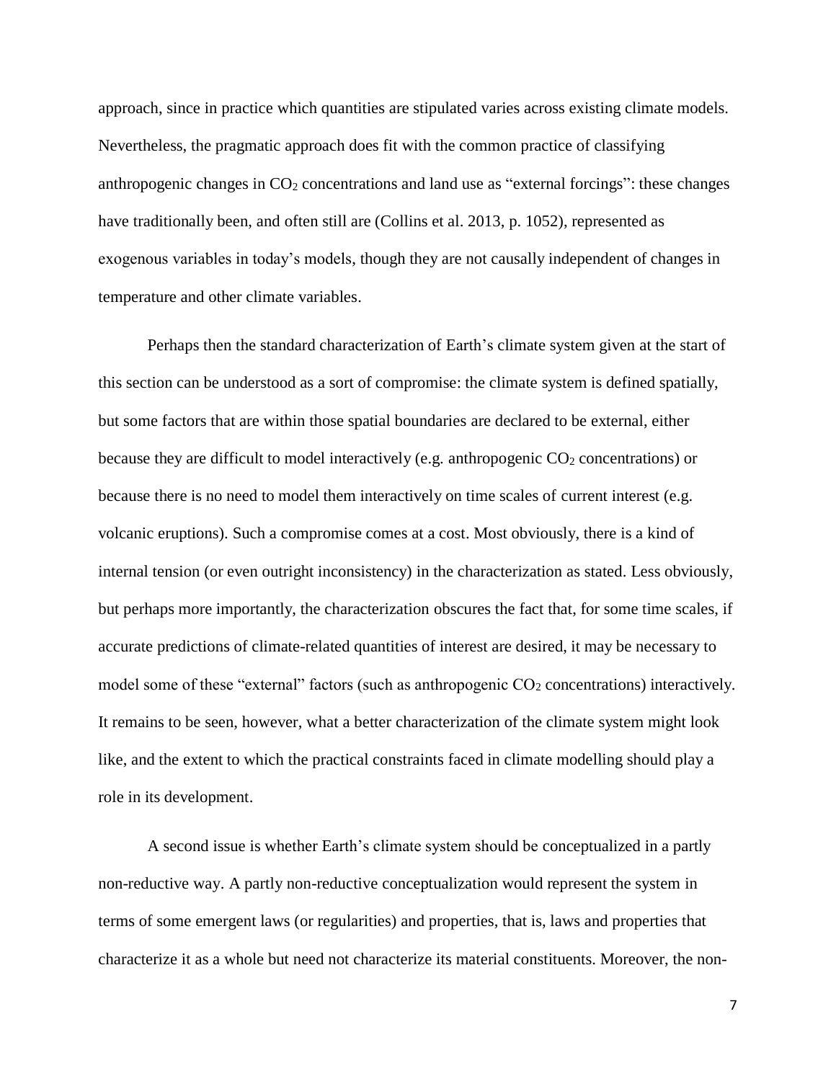approach, since in practice which quantities are stipulated varies across existing climate models. Nevertheless, the pragmatic approach does fit with the common practice of classifying anthropogenic changes in  $CO<sub>2</sub>$  concentrations and land use as "external forcings": these changes have traditionally been, and often still are (Collins et al. 2013, p. 1052), represented as exogenous variables in today's models, though they are not causally independent of changes in temperature and other climate variables.

Perhaps then the standard characterization of Earth's climate system given at the start of this section can be understood as a sort of compromise: the climate system is defined spatially, but some factors that are within those spatial boundaries are declared to be external, either because they are difficult to model interactively (e.g. anthropogenic  $CO<sub>2</sub>$  concentrations) or because there is no need to model them interactively on time scales of current interest (e.g. volcanic eruptions). Such a compromise comes at a cost. Most obviously, there is a kind of internal tension (or even outright inconsistency) in the characterization as stated. Less obviously, but perhaps more importantly, the characterization obscures the fact that, for some time scales, if accurate predictions of climate-related quantities of interest are desired, it may be necessary to model some of these "external" factors (such as anthropogenic  $CO<sub>2</sub>$  concentrations) interactively. It remains to be seen, however, what a better characterization of the climate system might look like, and the extent to which the practical constraints faced in climate modelling should play a role in its development.

A second issue is whether Earth's climate system should be conceptualized in a partly non-reductive way. A partly non-reductive conceptualization would represent the system in terms of some emergent laws (or regularities) and properties, that is, laws and properties that characterize it as a whole but need not characterize its material constituents. Moreover, the non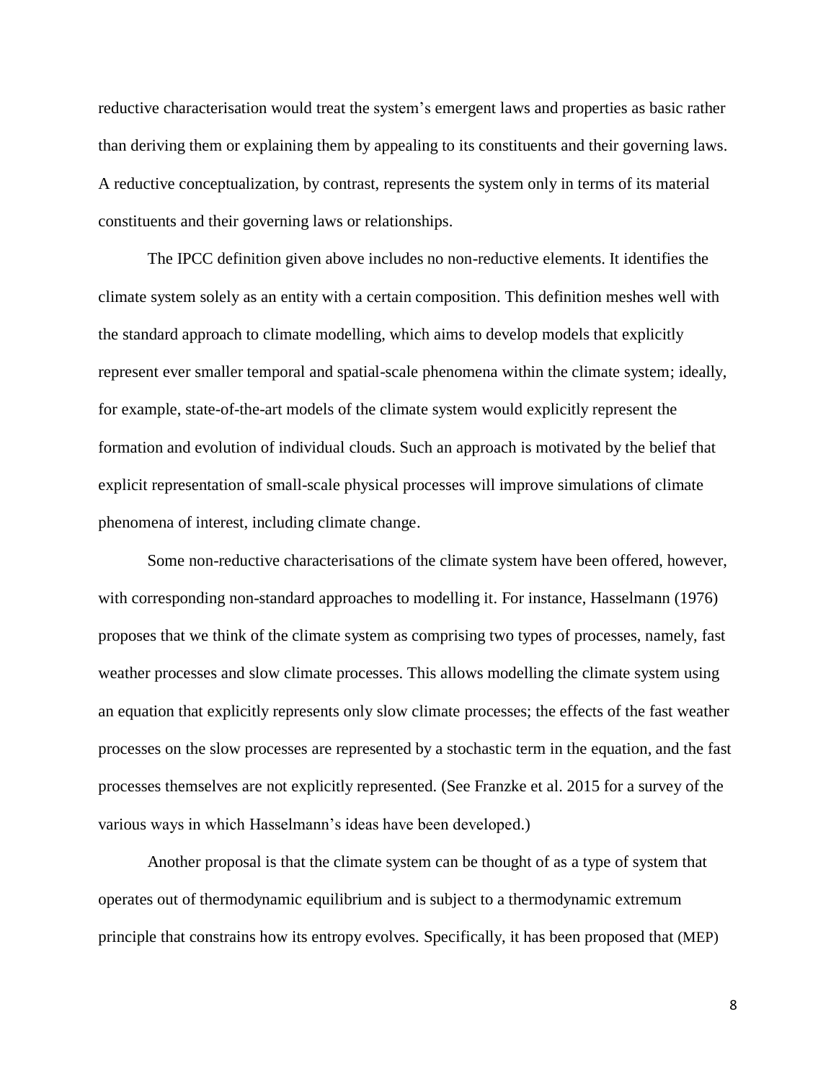reductive characterisation would treat the system's emergent laws and properties as basic rather than deriving them or explaining them by appealing to its constituents and their governing laws. A reductive conceptualization, by contrast, represents the system only in terms of its material constituents and their governing laws or relationships.

The IPCC definition given above includes no non-reductive elements. It identifies the climate system solely as an entity with a certain composition. This definition meshes well with the standard approach to climate modelling, which aims to develop models that explicitly represent ever smaller temporal and spatial-scale phenomena within the climate system; ideally, for example, state-of-the-art models of the climate system would explicitly represent the formation and evolution of individual clouds. Such an approach is motivated by the belief that explicit representation of small-scale physical processes will improve simulations of climate phenomena of interest, including climate change.

Some non-reductive characterisations of the climate system have been offered, however, with corresponding non-standard approaches to modelling it. For instance, Hasselmann (1976) proposes that we think of the climate system as comprising two types of processes, namely, fast weather processes and slow climate processes. This allows modelling the climate system using an equation that explicitly represents only slow climate processes; the effects of the fast weather processes on the slow processes are represented by a stochastic term in the equation, and the fast processes themselves are not explicitly represented. (See Franzke et al. 2015 for a survey of the various ways in which Hasselmann's ideas have been developed.)

Another proposal is that the climate system can be thought of as a type of system that operates out of thermodynamic equilibrium and is subject to a thermodynamic extremum principle that constrains how its entropy evolves. Specifically, it has been proposed that (MEP)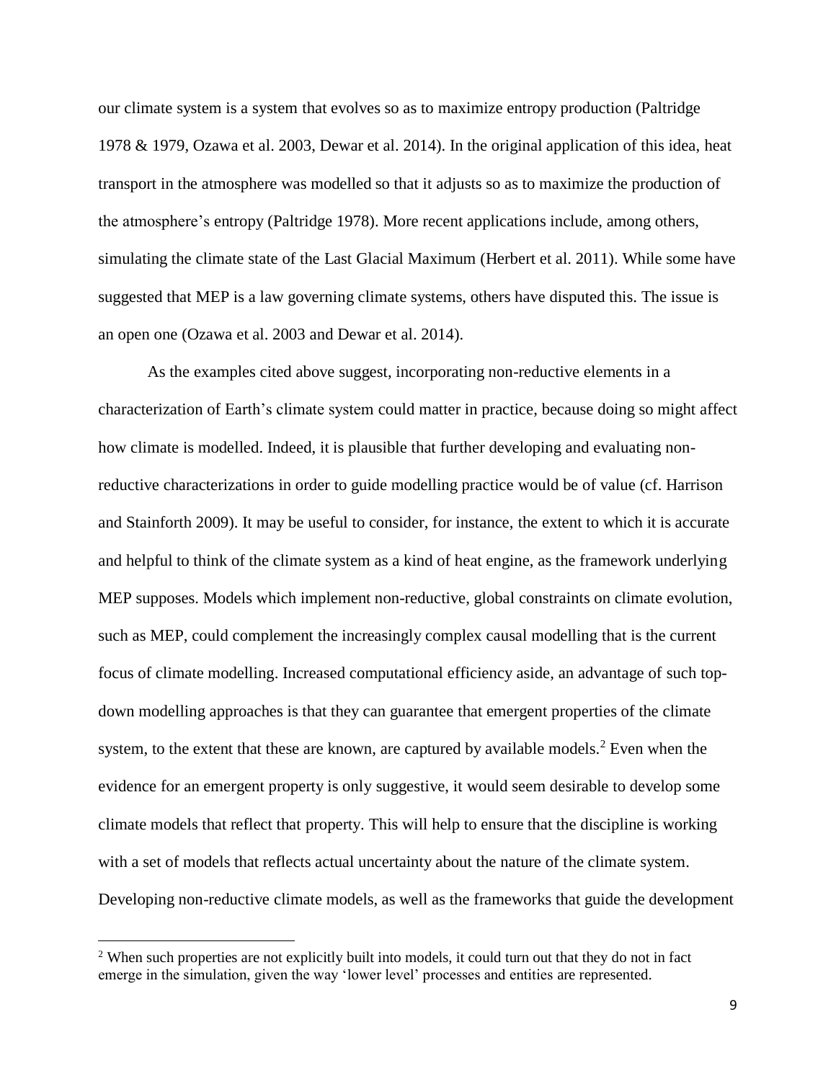our climate system is a system that evolves so as to maximize entropy production (Paltridge 1978 & 1979, Ozawa et al. 2003, Dewar et al. 2014). In the original application of this idea, heat transport in the atmosphere was modelled so that it adjusts so as to maximize the production of the atmosphere's entropy (Paltridge 1978). More recent applications include, among others, simulating the climate state of the Last Glacial Maximum (Herbert et al. 2011). While some have suggested that MEP is a law governing climate systems, others have disputed this. The issue is an open one (Ozawa et al. 2003 and Dewar et al. 2014).

As the examples cited above suggest, incorporating non-reductive elements in a characterization of Earth's climate system could matter in practice, because doing so might affect how climate is modelled. Indeed, it is plausible that further developing and evaluating nonreductive characterizations in order to guide modelling practice would be of value (cf. Harrison and Stainforth 2009). It may be useful to consider, for instance, the extent to which it is accurate and helpful to think of the climate system as a kind of heat engine, as the framework underlying MEP supposes. Models which implement non-reductive, global constraints on climate evolution, such as MEP, could complement the increasingly complex causal modelling that is the current focus of climate modelling. Increased computational efficiency aside, an advantage of such topdown modelling approaches is that they can guarantee that emergent properties of the climate system, to the extent that these are known, are captured by available models.<sup>2</sup> Even when the evidence for an emergent property is only suggestive, it would seem desirable to develop some climate models that reflect that property. This will help to ensure that the discipline is working with a set of models that reflects actual uncertainty about the nature of the climate system. Developing non-reductive climate models, as well as the frameworks that guide the development

l

<sup>2</sup> When such properties are not explicitly built into models, it could turn out that they do not in fact emerge in the simulation, given the way 'lower level' processes and entities are represented.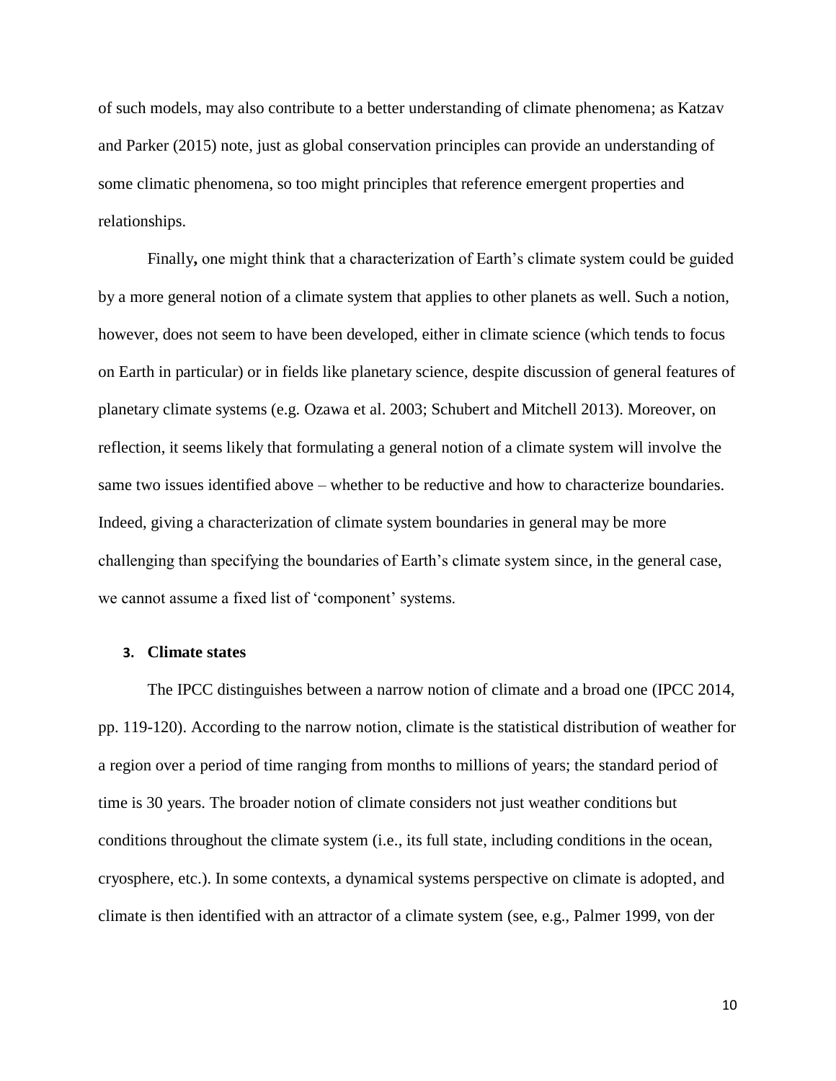of such models, may also contribute to a better understanding of climate phenomena; as Katzav and Parker (2015) note, just as global conservation principles can provide an understanding of some climatic phenomena, so too might principles that reference emergent properties and relationships.

Finally**,** one might think that a characterization of Earth's climate system could be guided by a more general notion of a climate system that applies to other planets as well. Such a notion, however, does not seem to have been developed, either in climate science (which tends to focus on Earth in particular) or in fields like planetary science, despite discussion of general features of planetary climate systems (e.g. Ozawa et al. 2003; Schubert and Mitchell 2013). Moreover, on reflection, it seems likely that formulating a general notion of a climate system will involve the same two issues identified above – whether to be reductive and how to characterize boundaries. Indeed, giving a characterization of climate system boundaries in general may be more challenging than specifying the boundaries of Earth's climate system since, in the general case, we cannot assume a fixed list of 'component' systems.

#### **3. Climate states**

The IPCC distinguishes between a narrow notion of climate and a broad one (IPCC 2014, pp. 119-120). According to the narrow notion, climate is the statistical distribution of weather for a region over a period of time ranging from months to millions of years; the standard period of time is 30 years. The broader notion of climate considers not just weather conditions but conditions throughout the climate system (i.e., its full state, including conditions in the ocean, cryosphere, etc.). In some contexts, a dynamical systems perspective on climate is adopted, and climate is then identified with an attractor of a climate system (see, e.g., Palmer 1999, von der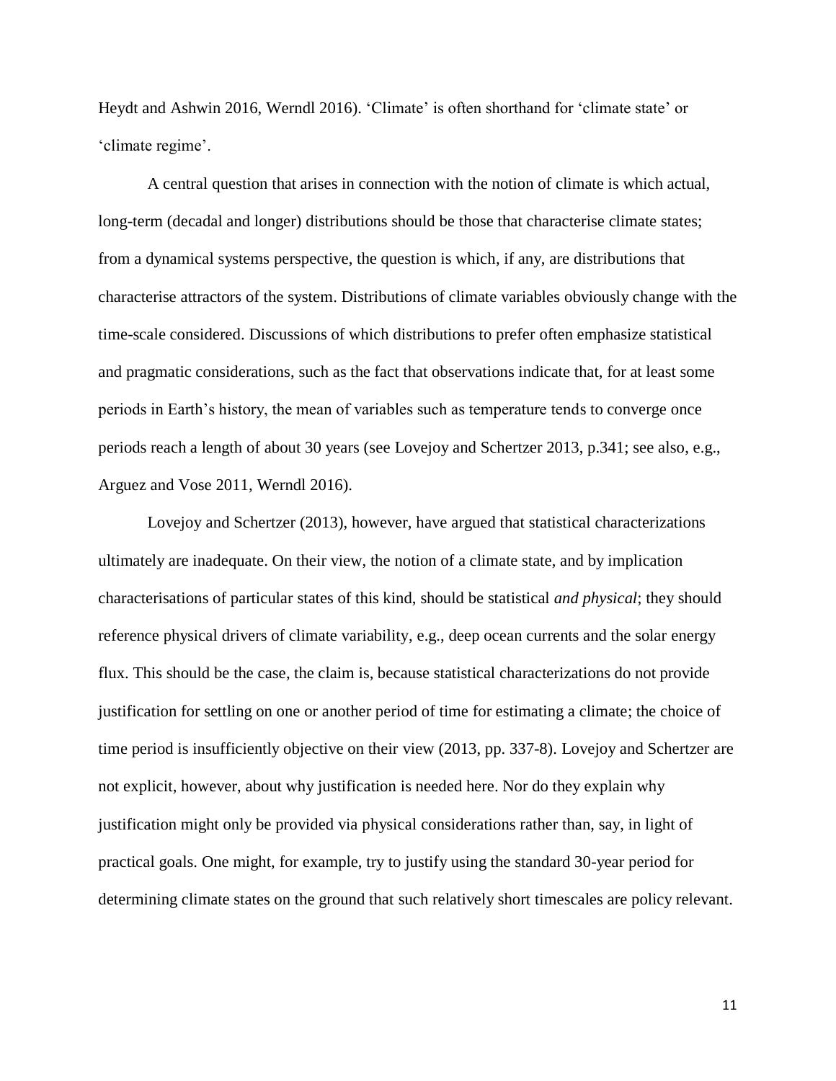Heydt and Ashwin 2016, Werndl 2016). 'Climate' is often shorthand for 'climate state' or 'climate regime'.

A central question that arises in connection with the notion of climate is which actual, long-term (decadal and longer) distributions should be those that characterise climate states; from a dynamical systems perspective, the question is which, if any, are distributions that characterise attractors of the system. Distributions of climate variables obviously change with the time-scale considered. Discussions of which distributions to prefer often emphasize statistical and pragmatic considerations, such as the fact that observations indicate that, for at least some periods in Earth's history, the mean of variables such as temperature tends to converge once periods reach a length of about 30 years (see Lovejoy and Schertzer 2013, p.341; see also, e.g., Arguez and Vose 2011, Werndl 2016).

Lovejoy and Schertzer (2013), however, have argued that statistical characterizations ultimately are inadequate. On their view, the notion of a climate state, and by implication characterisations of particular states of this kind, should be statistical *and physical*; they should reference physical drivers of climate variability, e.g., deep ocean currents and the solar energy flux. This should be the case, the claim is, because statistical characterizations do not provide justification for settling on one or another period of time for estimating a climate; the choice of time period is insufficiently objective on their view (2013, pp. 337-8). Lovejoy and Schertzer are not explicit, however, about why justification is needed here. Nor do they explain why justification might only be provided via physical considerations rather than, say, in light of practical goals. One might, for example, try to justify using the standard 30-year period for determining climate states on the ground that such relatively short timescales are policy relevant.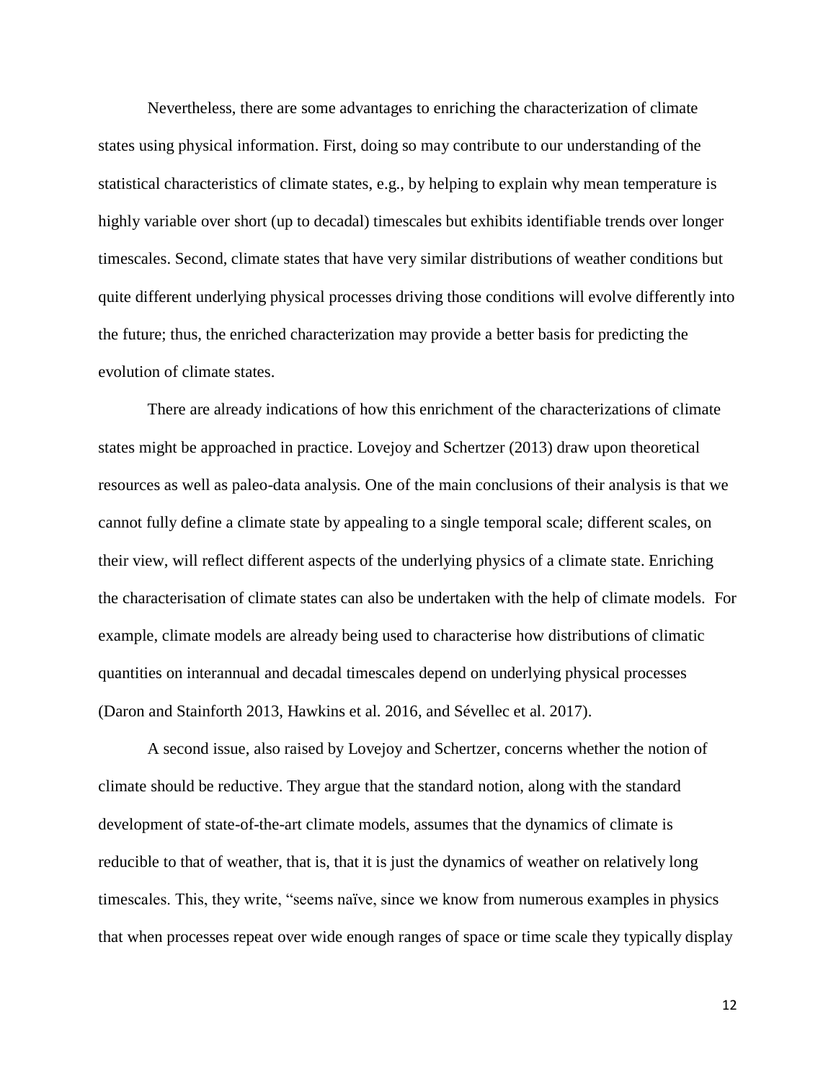Nevertheless, there are some advantages to enriching the characterization of climate states using physical information. First, doing so may contribute to our understanding of the statistical characteristics of climate states, e.g., by helping to explain why mean temperature is highly variable over short (up to decadal) timescales but exhibits identifiable trends over longer timescales. Second, climate states that have very similar distributions of weather conditions but quite different underlying physical processes driving those conditions will evolve differently into the future; thus, the enriched characterization may provide a better basis for predicting the evolution of climate states.

There are already indications of how this enrichment of the characterizations of climate states might be approached in practice. Lovejoy and Schertzer (2013) draw upon theoretical resources as well as paleo-data analysis. One of the main conclusions of their analysis is that we cannot fully define a climate state by appealing to a single temporal scale; different scales, on their view, will reflect different aspects of the underlying physics of a climate state. Enriching the characterisation of climate states can also be undertaken with the help of climate models. For example, climate models are already being used to characterise how distributions of climatic quantities on interannual and decadal timescales depend on underlying physical processes (Daron and Stainforth 2013, Hawkins et al. 2016, and Sévellec et al. 2017).

A second issue, also raised by Lovejoy and Schertzer, concerns whether the notion of climate should be reductive. They argue that the standard notion, along with the standard development of state-of-the-art climate models, assumes that the dynamics of climate is reducible to that of weather, that is, that it is just the dynamics of weather on relatively long timescales. This, they write, "seems naïve, since we know from numerous examples in physics that when processes repeat over wide enough ranges of space or time scale they typically display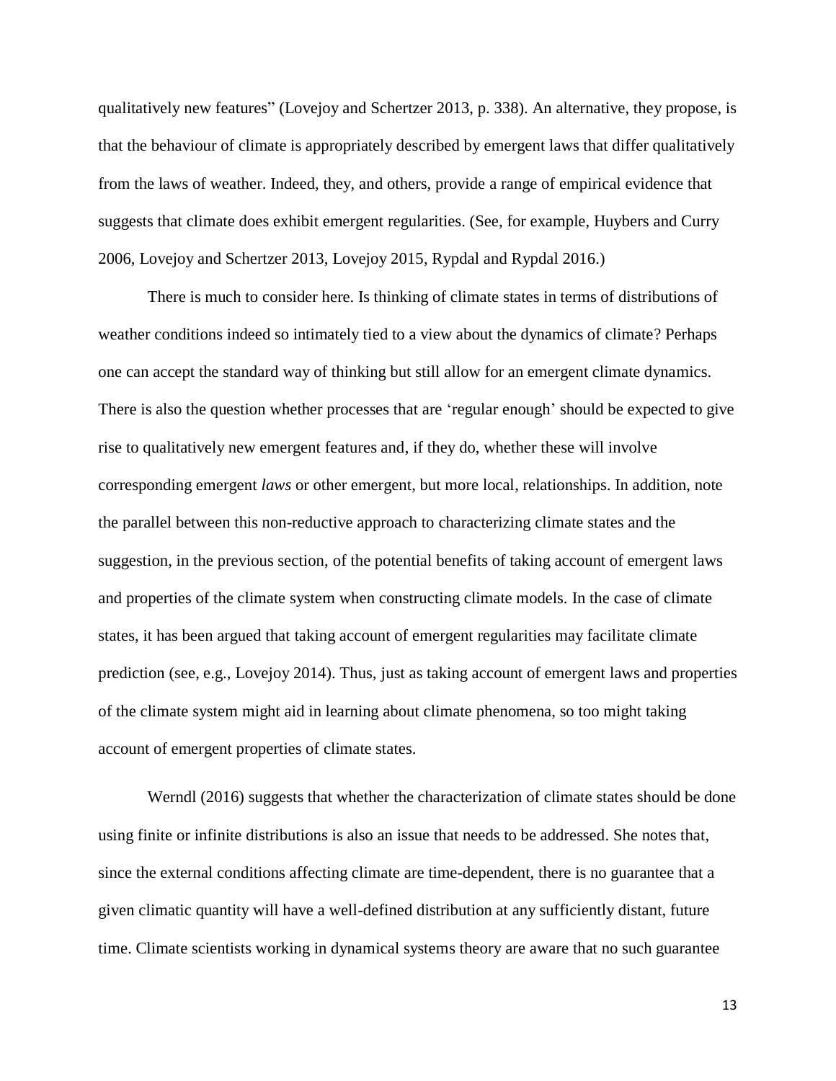qualitatively new features" (Lovejoy and Schertzer 2013, p. 338). An alternative, they propose, is that the behaviour of climate is appropriately described by emergent laws that differ qualitatively from the laws of weather. Indeed, they, and others, provide a range of empirical evidence that suggests that climate does exhibit emergent regularities. (See, for example, Huybers and Curry 2006, Lovejoy and Schertzer 2013, Lovejoy 2015, Rypdal and Rypdal 2016.)

There is much to consider here. Is thinking of climate states in terms of distributions of weather conditions indeed so intimately tied to a view about the dynamics of climate? Perhaps one can accept the standard way of thinking but still allow for an emergent climate dynamics. There is also the question whether processes that are 'regular enough' should be expected to give rise to qualitatively new emergent features and, if they do, whether these will involve corresponding emergent *laws* or other emergent, but more local, relationships. In addition, note the parallel between this non-reductive approach to characterizing climate states and the suggestion, in the previous section, of the potential benefits of taking account of emergent laws and properties of the climate system when constructing climate models. In the case of climate states, it has been argued that taking account of emergent regularities may facilitate climate prediction (see, e.g., Lovejoy 2014). Thus, just as taking account of emergent laws and properties of the climate system might aid in learning about climate phenomena, so too might taking account of emergent properties of climate states.

Werndl (2016) suggests that whether the characterization of climate states should be done using finite or infinite distributions is also an issue that needs to be addressed. She notes that, since the external conditions affecting climate are time-dependent, there is no guarantee that a given climatic quantity will have a well-defined distribution at any sufficiently distant, future time. Climate scientists working in dynamical systems theory are aware that no such guarantee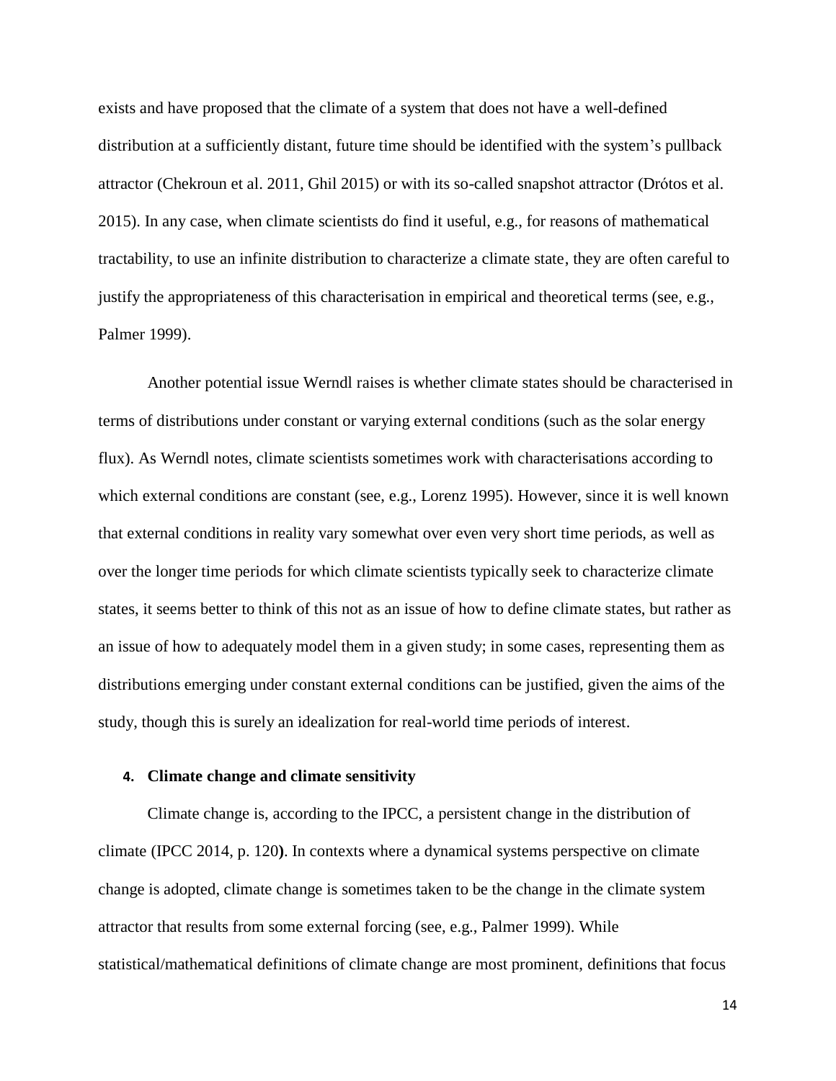exists and have proposed that the climate of a system that does not have a well-defined distribution at a sufficiently distant, future time should be identified with the system's pullback attractor (Chekroun et al. 2011, Ghil 2015) or with its so-called snapshot attractor (Drόtos et al. 2015). In any case, when climate scientists do find it useful, e.g., for reasons of mathematical tractability, to use an infinite distribution to characterize a climate state, they are often careful to justify the appropriateness of this characterisation in empirical and theoretical terms (see, e.g., Palmer 1999).

Another potential issue Werndl raises is whether climate states should be characterised in terms of distributions under constant or varying external conditions (such as the solar energy flux). As Werndl notes, climate scientists sometimes work with characterisations according to which external conditions are constant (see, e.g., Lorenz 1995). However, since it is well known that external conditions in reality vary somewhat over even very short time periods, as well as over the longer time periods for which climate scientists typically seek to characterize climate states, it seems better to think of this not as an issue of how to define climate states, but rather as an issue of how to adequately model them in a given study; in some cases, representing them as distributions emerging under constant external conditions can be justified, given the aims of the study, though this is surely an idealization for real-world time periods of interest.

#### **4. Climate change and climate sensitivity**

Climate change is, according to the IPCC, a persistent change in the distribution of climate (IPCC 2014, p. 120**)**. In contexts where a dynamical systems perspective on climate change is adopted, climate change is sometimes taken to be the change in the climate system attractor that results from some external forcing (see, e.g., Palmer 1999). While statistical/mathematical definitions of climate change are most prominent, definitions that focus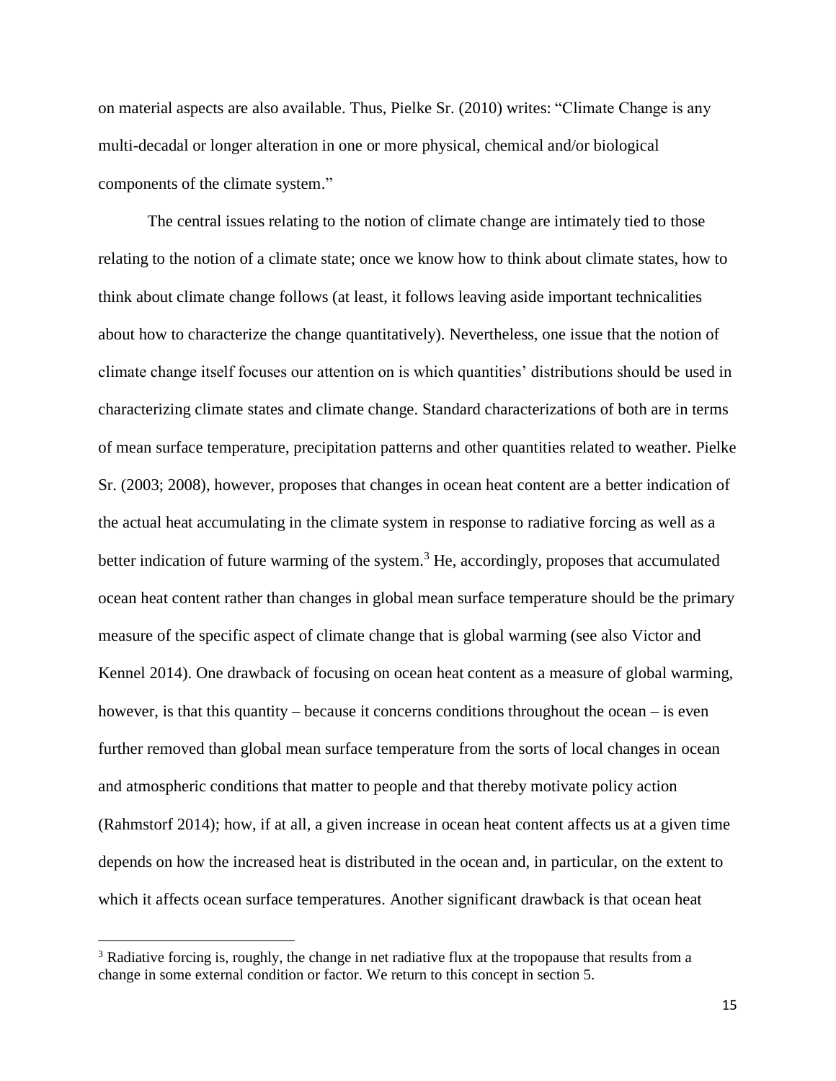on material aspects are also available. Thus, Pielke Sr. (2010) writes: "Climate Change is any multi-decadal or longer alteration in one or more physical, chemical and/or biological components of the climate system."

The central issues relating to the notion of climate change are intimately tied to those relating to the notion of a climate state; once we know how to think about climate states, how to think about climate change follows (at least, it follows leaving aside important technicalities about how to characterize the change quantitatively). Nevertheless, one issue that the notion of climate change itself focuses our attention on is which quantities' distributions should be used in characterizing climate states and climate change. Standard characterizations of both are in terms of mean surface temperature, precipitation patterns and other quantities related to weather. Pielke Sr. (2003; 2008), however, proposes that changes in ocean heat content are a better indication of the actual heat accumulating in the climate system in response to radiative forcing as well as a better indication of future warming of the system.<sup>3</sup> He, accordingly, proposes that accumulated ocean heat content rather than changes in global mean surface temperature should be the primary measure of the specific aspect of climate change that is global warming (see also Victor and Kennel 2014). One drawback of focusing on ocean heat content as a measure of global warming, however, is that this quantity – because it concerns conditions throughout the ocean – is even further removed than global mean surface temperature from the sorts of local changes in ocean and atmospheric conditions that matter to people and that thereby motivate policy action (Rahmstorf 2014); how, if at all, a given increase in ocean heat content affects us at a given time depends on how the increased heat is distributed in the ocean and, in particular, on the extent to which it affects ocean surface temperatures. Another significant drawback is that ocean heat

l

<sup>3</sup> Radiative forcing is, roughly, the change in net radiative flux at the tropopause that results from a change in some external condition or factor. We return to this concept in section 5.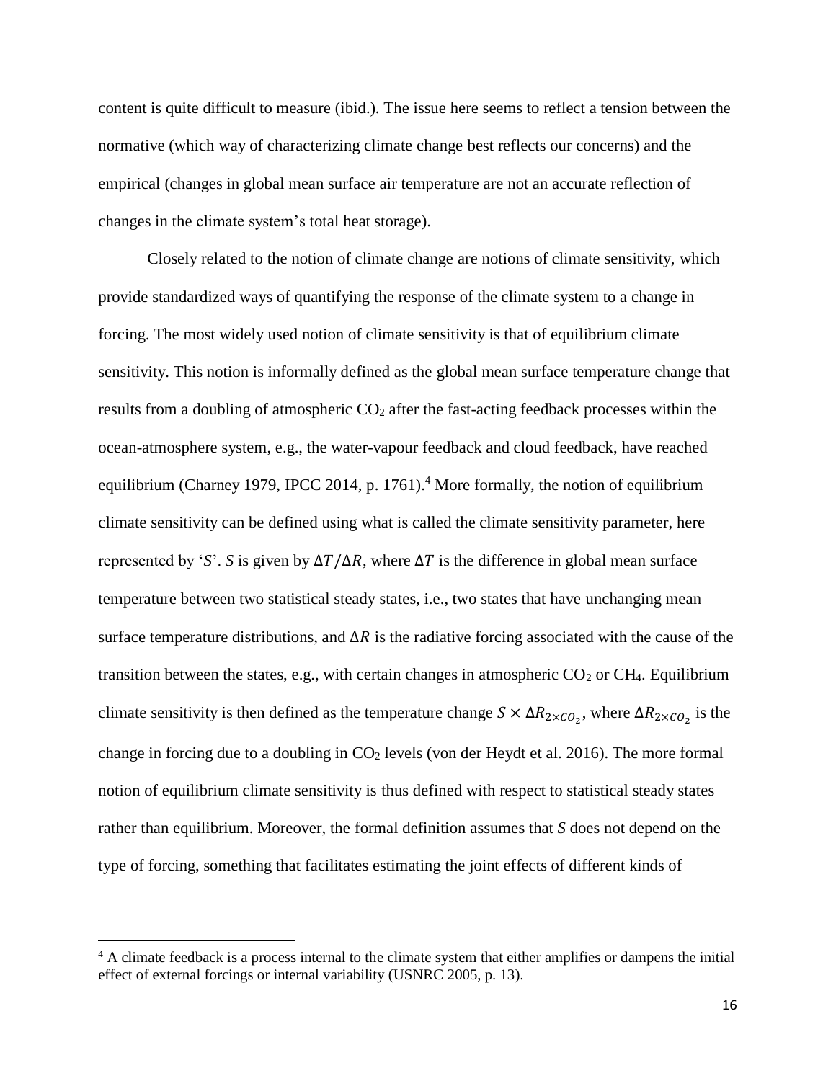content is quite difficult to measure (ibid.). The issue here seems to reflect a tension between the normative (which way of characterizing climate change best reflects our concerns) and the empirical (changes in global mean surface air temperature are not an accurate reflection of changes in the climate system's total heat storage).

Closely related to the notion of climate change are notions of climate sensitivity, which provide standardized ways of quantifying the response of the climate system to a change in forcing. The most widely used notion of climate sensitivity is that of equilibrium climate sensitivity. This notion is informally defined as the global mean surface temperature change that results from a doubling of atmospheric  $CO<sub>2</sub>$  after the fast-acting feedback processes within the ocean-atmosphere system, e.g., the water-vapour feedback and cloud feedback, have reached equilibrium (Charney 1979, IPCC 2014, p. 1761).<sup>4</sup> More formally, the notion of equilibrium climate sensitivity can be defined using what is called the climate sensitivity parameter, here represented by '*S*'. *S* is given by  $\Delta T/\Delta R$ , where  $\Delta T$  is the difference in global mean surface temperature between two statistical steady states, i.e., two states that have unchanging mean surface temperature distributions, and  $\Delta R$  is the radiative forcing associated with the cause of the transition between the states, e.g., with certain changes in atmospheric  $CO<sub>2</sub>$  or CH<sub>4</sub>. Equilibrium climate sensitivity is then defined as the temperature change  $S \times \Delta R_{2 \times CO_2}$ , where  $\Delta R_{2 \times CO_2}$  is the change in forcing due to a doubling in  $CO<sub>2</sub>$  levels (von der Heydt et al. 2016). The more formal notion of equilibrium climate sensitivity is thus defined with respect to statistical steady states rather than equilibrium. Moreover, the formal definition assumes that *S* does not depend on the type of forcing, something that facilitates estimating the joint effects of different kinds of

l

<sup>&</sup>lt;sup>4</sup> A climate feedback is a process internal to the climate system that either amplifies or dampens the initial effect of external forcings or internal variability (USNRC 2005, p. 13).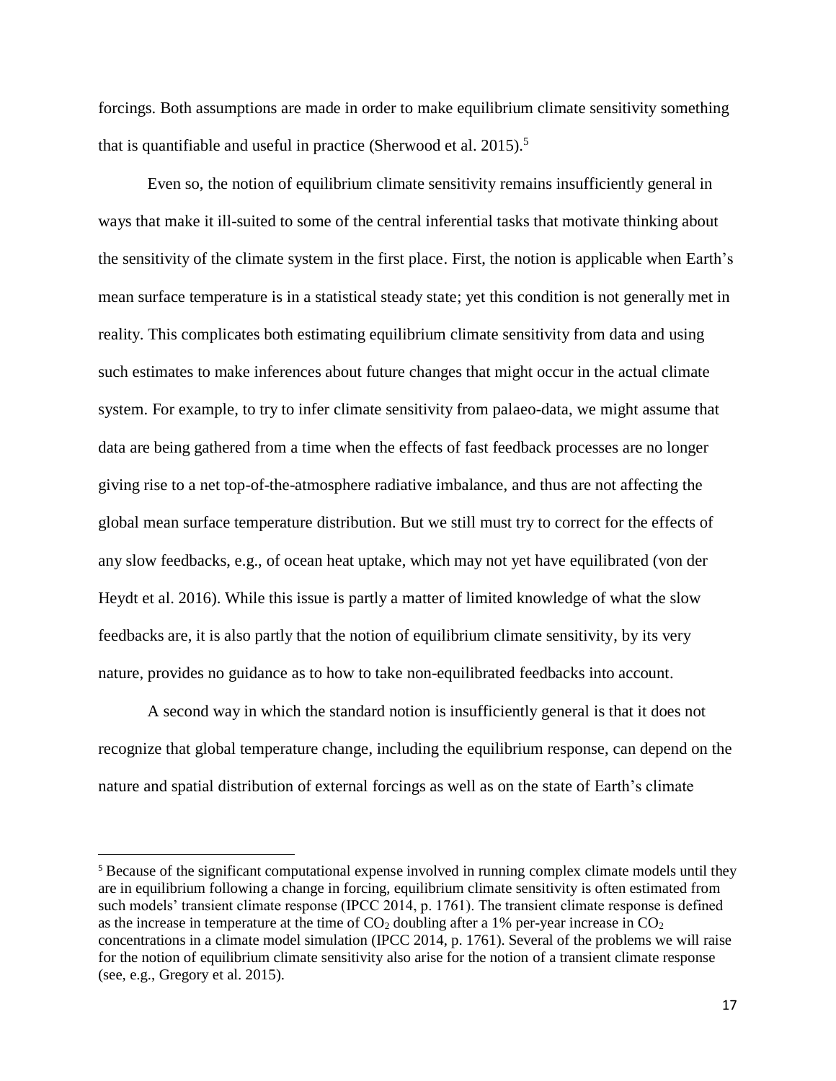forcings. Both assumptions are made in order to make equilibrium climate sensitivity something that is quantifiable and useful in practice (Sherwood et al.  $2015$ ).<sup>5</sup>

Even so, the notion of equilibrium climate sensitivity remains insufficiently general in ways that make it ill-suited to some of the central inferential tasks that motivate thinking about the sensitivity of the climate system in the first place. First, the notion is applicable when Earth's mean surface temperature is in a statistical steady state; yet this condition is not generally met in reality. This complicates both estimating equilibrium climate sensitivity from data and using such estimates to make inferences about future changes that might occur in the actual climate system. For example, to try to infer climate sensitivity from palaeo-data, we might assume that data are being gathered from a time when the effects of fast feedback processes are no longer giving rise to a net top-of-the-atmosphere radiative imbalance, and thus are not affecting the global mean surface temperature distribution. But we still must try to correct for the effects of any slow feedbacks, e.g., of ocean heat uptake, which may not yet have equilibrated (von der Heydt et al. 2016). While this issue is partly a matter of limited knowledge of what the slow feedbacks are, it is also partly that the notion of equilibrium climate sensitivity, by its very nature, provides no guidance as to how to take non-equilibrated feedbacks into account.

A second way in which the standard notion is insufficiently general is that it does not recognize that global temperature change, including the equilibrium response, can depend on the nature and spatial distribution of external forcings as well as on the state of Earth's climate

 $\overline{a}$ 

<sup>5</sup> Because of the significant computational expense involved in running complex climate models until they are in equilibrium following a change in forcing, equilibrium climate sensitivity is often estimated from such models' transient climate response (IPCC 2014, p. 1761). The transient climate response is defined as the increase in temperature at the time of  $CO<sub>2</sub>$  doubling after a 1% per-year increase in  $CO<sub>2</sub>$ concentrations in a climate model simulation (IPCC 2014, p. 1761). Several of the problems we will raise for the notion of equilibrium climate sensitivity also arise for the notion of a transient climate response (see, e.g., Gregory et al. 2015).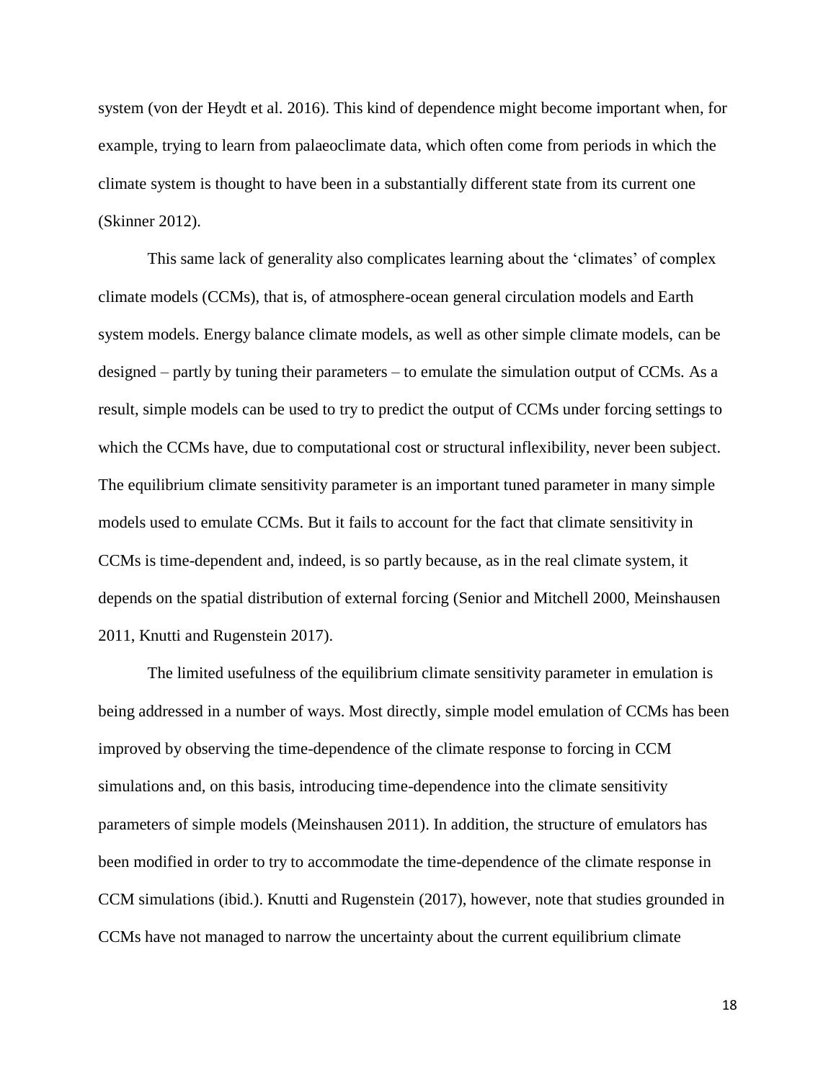system (von der Heydt et al. 2016). This kind of dependence might become important when, for example, trying to learn from palaeoclimate data, which often come from periods in which the climate system is thought to have been in a substantially different state from its current one (Skinner 2012).

This same lack of generality also complicates learning about the 'climates' of complex climate models (CCMs), that is, of atmosphere-ocean general circulation models and Earth system models. Energy balance climate models, as well as other simple climate models, can be designed – partly by tuning their parameters – to emulate the simulation output of CCMs. As a result, simple models can be used to try to predict the output of CCMs under forcing settings to which the CCMs have, due to computational cost or structural inflexibility, never been subject. The equilibrium climate sensitivity parameter is an important tuned parameter in many simple models used to emulate CCMs. But it fails to account for the fact that climate sensitivity in CCMs is time-dependent and, indeed, is so partly because, as in the real climate system, it depends on the spatial distribution of external forcing (Senior and Mitchell 2000, Meinshausen 2011, Knutti and Rugenstein 2017).

The limited usefulness of the equilibrium climate sensitivity parameter in emulation is being addressed in a number of ways. Most directly, simple model emulation of CCMs has been improved by observing the time-dependence of the climate response to forcing in CCM simulations and, on this basis, introducing time-dependence into the climate sensitivity parameters of simple models (Meinshausen 2011). In addition, the structure of emulators has been modified in order to try to accommodate the time-dependence of the climate response in CCM simulations (ibid.). Knutti and Rugenstein (2017), however, note that studies grounded in CCMs have not managed to narrow the uncertainty about the current equilibrium climate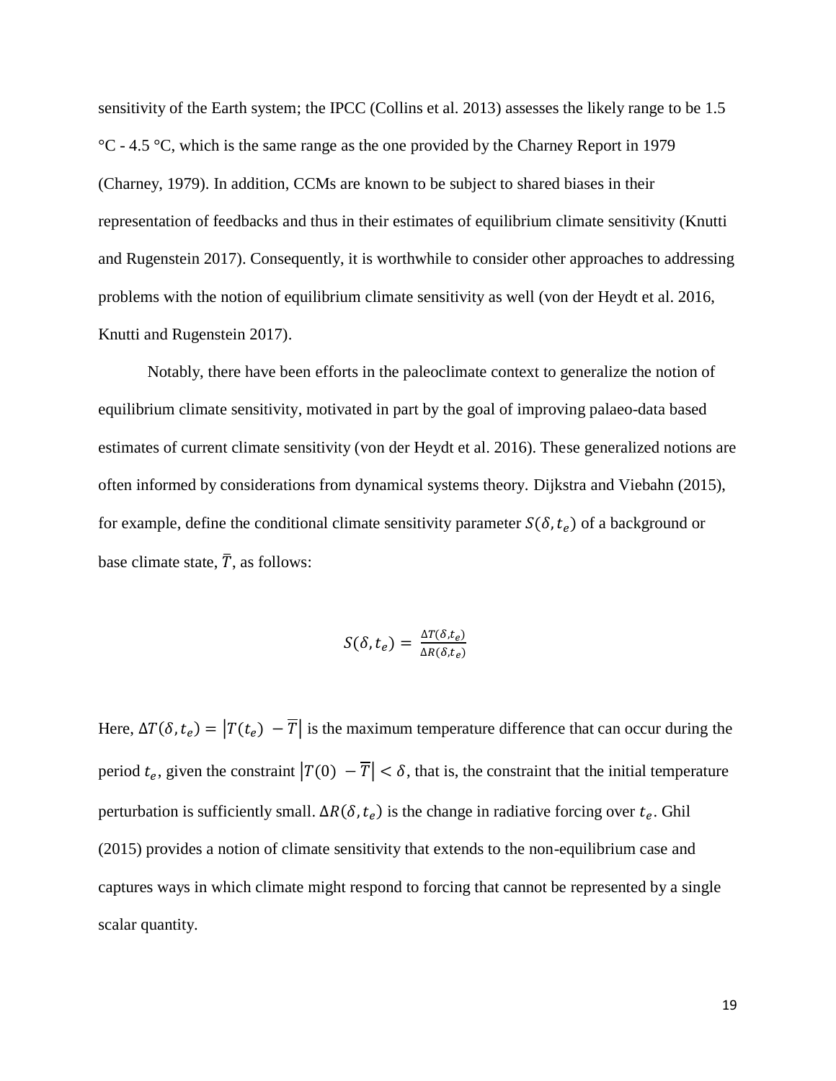sensitivity of the Earth system; the IPCC (Collins et al. 2013) assesses the likely range to be 1.5  $^{\circ}$ C - 4.5  $^{\circ}$ C, which is the same range as the one provided by the Charney Report in 1979 (Charney, 1979). In addition, CCMs are known to be subject to shared biases in their representation of feedbacks and thus in their estimates of equilibrium climate sensitivity (Knutti and Rugenstein 2017). Consequently, it is worthwhile to consider other approaches to addressing problems with the notion of equilibrium climate sensitivity as well (von der Heydt et al. 2016, Knutti and Rugenstein 2017).

Notably, there have been efforts in the paleoclimate context to generalize the notion of equilibrium climate sensitivity, motivated in part by the goal of improving palaeo-data based estimates of current climate sensitivity (von der Heydt et al. 2016). These generalized notions are often informed by considerations from dynamical systems theory. Dijkstra and Viebahn (2015), for example, define the conditional climate sensitivity parameter  $S(\delta,t_e)$  of a background or base climate state,  $\overline{T}$ , as follows:

$$
S(\delta, t_e) = \frac{\Delta T(\delta, t_e)}{\Delta R(\delta, t_e)}
$$

Here,  $\Delta T(\delta, t_e) = |T(t_e) - \overline{T}|$  is the maximum temperature difference that can occur during the period  $t_e$ , given the constraint  $|T(0) - T| < \delta$ , that is, the constraint that the initial temperature perturbation is sufficiently small.  $\Delta R(\delta, t_e)$  is the change in radiative forcing over  $t_e$ . Ghil (2015) provides a notion of climate sensitivity that extends to the non-equilibrium case and captures ways in which climate might respond to forcing that cannot be represented by a single scalar quantity.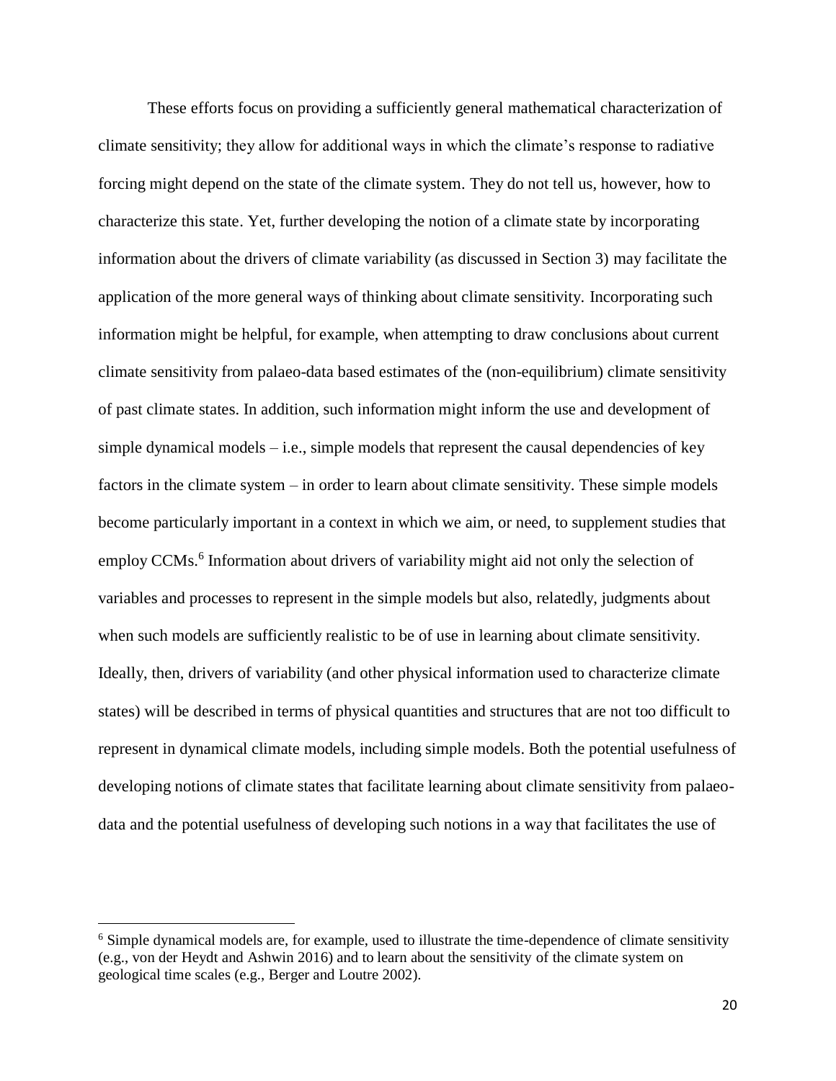These efforts focus on providing a sufficiently general mathematical characterization of climate sensitivity; they allow for additional ways in which the climate's response to radiative forcing might depend on the state of the climate system. They do not tell us, however, how to characterize this state. Yet, further developing the notion of a climate state by incorporating information about the drivers of climate variability (as discussed in Section 3) may facilitate the application of the more general ways of thinking about climate sensitivity. Incorporating such information might be helpful, for example, when attempting to draw conclusions about current climate sensitivity from palaeo-data based estimates of the (non-equilibrium) climate sensitivity of past climate states. In addition, such information might inform the use and development of simple dynamical models  $-$  i.e., simple models that represent the causal dependencies of key factors in the climate system – in order to learn about climate sensitivity. These simple models become particularly important in a context in which we aim, or need, to supplement studies that employ CCMs.<sup>6</sup> Information about drivers of variability might aid not only the selection of variables and processes to represent in the simple models but also, relatedly, judgments about when such models are sufficiently realistic to be of use in learning about climate sensitivity. Ideally, then, drivers of variability (and other physical information used to characterize climate states) will be described in terms of physical quantities and structures that are not too difficult to represent in dynamical climate models, including simple models. Both the potential usefulness of developing notions of climate states that facilitate learning about climate sensitivity from palaeodata and the potential usefulness of developing such notions in a way that facilitates the use of

 $\overline{a}$ 

<sup>6</sup> Simple dynamical models are, for example, used to illustrate the time-dependence of climate sensitivity (e.g., von der Heydt and Ashwin 2016) and to learn about the sensitivity of the climate system on geological time scales (e.g., Berger and Loutre 2002).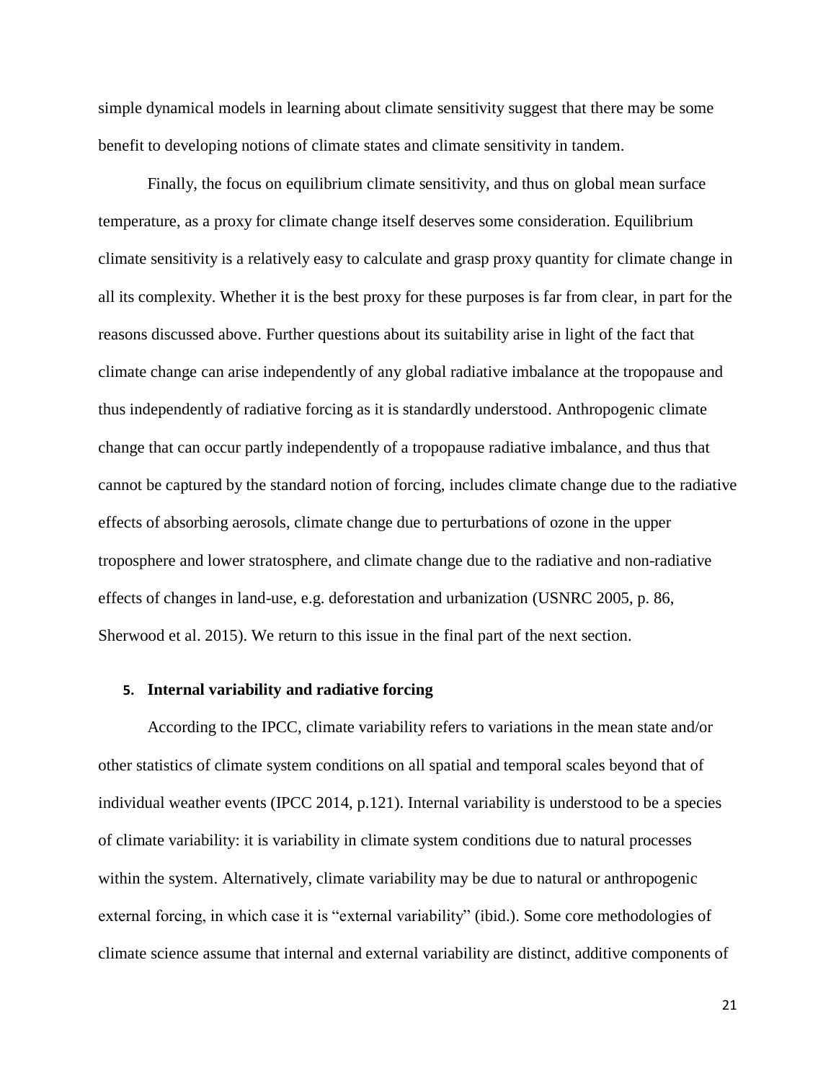simple dynamical models in learning about climate sensitivity suggest that there may be some benefit to developing notions of climate states and climate sensitivity in tandem.

Finally, the focus on equilibrium climate sensitivity, and thus on global mean surface temperature, as a proxy for climate change itself deserves some consideration. Equilibrium climate sensitivity is a relatively easy to calculate and grasp proxy quantity for climate change in all its complexity. Whether it is the best proxy for these purposes is far from clear, in part for the reasons discussed above. Further questions about its suitability arise in light of the fact that climate change can arise independently of any global radiative imbalance at the tropopause and thus independently of radiative forcing as it is standardly understood. Anthropogenic climate change that can occur partly independently of a tropopause radiative imbalance, and thus that cannot be captured by the standard notion of forcing, includes climate change due to the radiative effects of absorbing aerosols, climate change due to perturbations of ozone in the upper troposphere and lower stratosphere, and climate change due to the radiative and non-radiative effects of changes in land-use, e.g. deforestation and urbanization (USNRC 2005, p. 86, Sherwood et al. 2015). We return to this issue in the final part of the next section.

#### **5. Internal variability and radiative forcing**

According to the IPCC, climate variability refers to variations in the mean state and/or other statistics of climate system conditions on all spatial and temporal scales beyond that of individual weather events (IPCC 2014, p.121). Internal variability is understood to be a species of climate variability: it is variability in climate system conditions due to natural processes within the system. Alternatively, climate variability may be due to natural or anthropogenic external forcing, in which case it is "external variability" (ibid.). Some core methodologies of climate science assume that internal and external variability are distinct, additive components of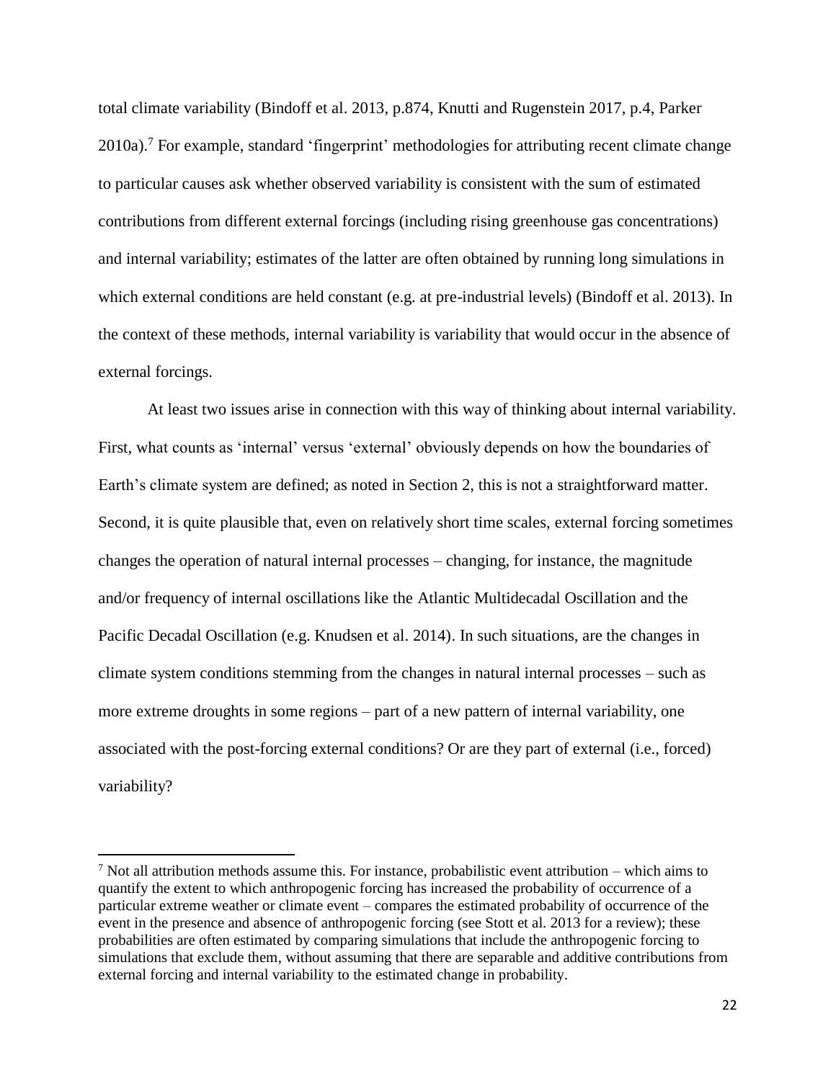total climate variability (Bindoff et al. 2013, p.874, Knutti and Rugenstein 2017, p.4, Parker  $2010a$ ).<sup>7</sup> For example, standard 'fingerprint' methodologies for attributing recent climate change to particular causes ask whether observed variability is consistent with the sum of estimated contributions from different external forcings (including rising greenhouse gas concentrations) and internal variability; estimates of the latter are often obtained by running long simulations in which external conditions are held constant (e.g. at pre-industrial levels) (Bindoff et al. 2013). In the context of these methods, internal variability is variability that would occur in the absence of external forcings.

At least two issues arise in connection with this way of thinking about internal variability. First, what counts as 'internal' versus 'external' obviously depends on how the boundaries of Earth's climate system are defined; as noted in Section 2, this is not a straightforward matter. Second, it is quite plausible that, even on relatively short time scales, external forcing sometimes changes the operation of natural internal processes – changing, for instance, the magnitude and/or frequency of internal oscillations like the Atlantic Multidecadal Oscillation and the Pacific Decadal Oscillation (e.g. Knudsen et al. 2014). In such situations, are the changes in climate system conditions stemming from the changes in natural internal processes – such as more extreme droughts in some regions – part of a new pattern of internal variability, one associated with the post-forcing external conditions? Or are they part of external (i.e., forced) variability?

 $\overline{a}$ 

<sup>7</sup> Not all attribution methods assume this. For instance, probabilistic event attribution – which aims to quantify the extent to which anthropogenic forcing has increased the probability of occurrence of a particular extreme weather or climate event – compares the estimated probability of occurrence of the event in the presence and absence of anthropogenic forcing (see Stott et al. 2013 for a review); these probabilities are often estimated by comparing simulations that include the anthropogenic forcing to simulations that exclude them, without assuming that there are separable and additive contributions from external forcing and internal variability to the estimated change in probability.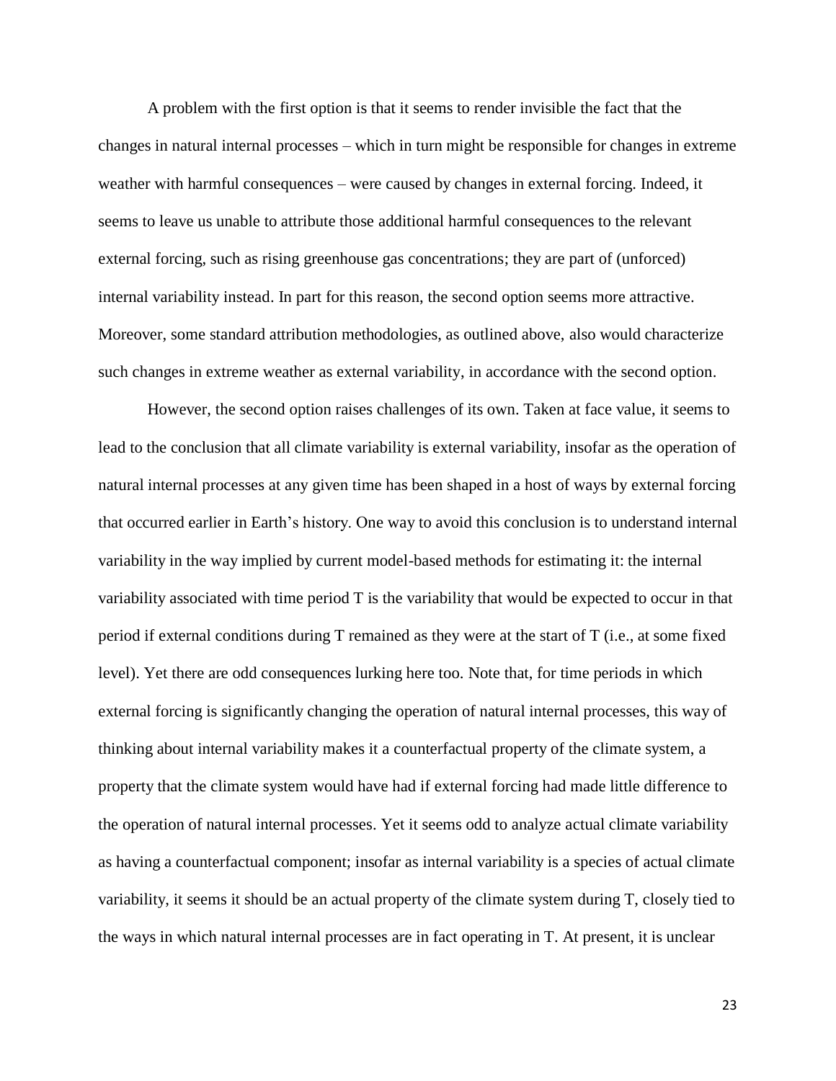A problem with the first option is that it seems to render invisible the fact that the changes in natural internal processes – which in turn might be responsible for changes in extreme weather with harmful consequences – were caused by changes in external forcing. Indeed, it seems to leave us unable to attribute those additional harmful consequences to the relevant external forcing, such as rising greenhouse gas concentrations; they are part of (unforced) internal variability instead. In part for this reason, the second option seems more attractive. Moreover, some standard attribution methodologies, as outlined above, also would characterize such changes in extreme weather as external variability, in accordance with the second option.

However, the second option raises challenges of its own. Taken at face value, it seems to lead to the conclusion that all climate variability is external variability, insofar as the operation of natural internal processes at any given time has been shaped in a host of ways by external forcing that occurred earlier in Earth's history. One way to avoid this conclusion is to understand internal variability in the way implied by current model-based methods for estimating it: the internal variability associated with time period T is the variability that would be expected to occur in that period if external conditions during T remained as they were at the start of T (i.e., at some fixed level). Yet there are odd consequences lurking here too. Note that, for time periods in which external forcing is significantly changing the operation of natural internal processes, this way of thinking about internal variability makes it a counterfactual property of the climate system, a property that the climate system would have had if external forcing had made little difference to the operation of natural internal processes. Yet it seems odd to analyze actual climate variability as having a counterfactual component; insofar as internal variability is a species of actual climate variability, it seems it should be an actual property of the climate system during T, closely tied to the ways in which natural internal processes are in fact operating in T. At present, it is unclear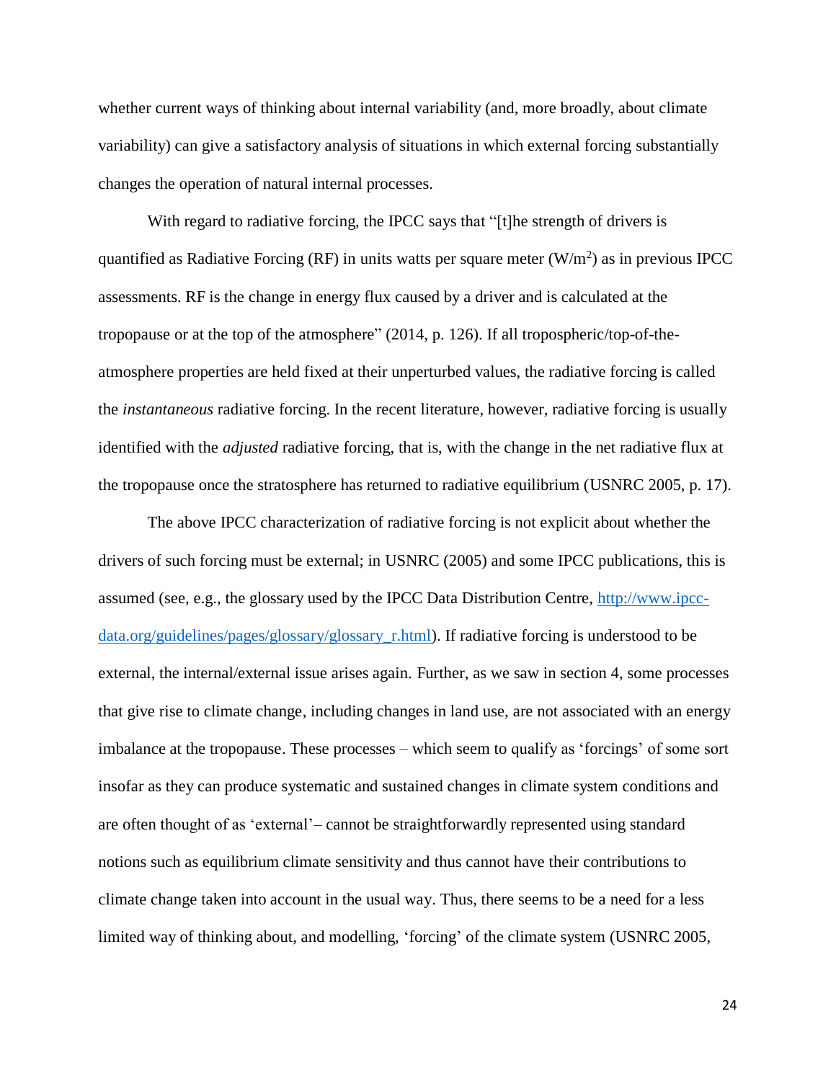whether current ways of thinking about internal variability (and, more broadly, about climate variability) can give a satisfactory analysis of situations in which external forcing substantially changes the operation of natural internal processes.

With regard to radiative forcing, the IPCC says that "[t] he strength of drivers is quantified as Radiative Forcing (RF) in units watts per square meter  $(W/m<sup>2</sup>)$  as in previous IPCC assessments. RF is the change in energy flux caused by a driver and is calculated at the tropopause or at the top of the atmosphere" (2014, p. 126). If all tropospheric/top-of-theatmosphere properties are held fixed at their unperturbed values, the radiative forcing is called the *instantaneous* radiative forcing. In the recent literature, however, radiative forcing is usually identified with the *adjusted* radiative forcing, that is, with the change in the net radiative flux at the tropopause once the stratosphere has returned to radiative equilibrium (USNRC 2005, p. 17).

The above IPCC characterization of radiative forcing is not explicit about whether the drivers of such forcing must be external; in USNRC (2005) and some IPCC publications, this is assumed (see, e.g., the glossary used by the IPCC Data Distribution Centre, [http://www.ipcc](http://www.ipcc-data.org/guidelines/pages/glossary/glossary_r.html)[data.org/guidelines/pages/glossary/glossary\\_r.html\)](http://www.ipcc-data.org/guidelines/pages/glossary/glossary_r.html). If radiative forcing is understood to be external, the internal/external issue arises again. Further, as we saw in section 4, some processes that give rise to climate change, including changes in land use, are not associated with an energy imbalance at the tropopause. These processes – which seem to qualify as 'forcings' of some sort insofar as they can produce systematic and sustained changes in climate system conditions and are often thought of as 'external'– cannot be straightforwardly represented using standard notions such as equilibrium climate sensitivity and thus cannot have their contributions to climate change taken into account in the usual way. Thus, there seems to be a need for a less limited way of thinking about, and modelling, 'forcing' of the climate system (USNRC 2005,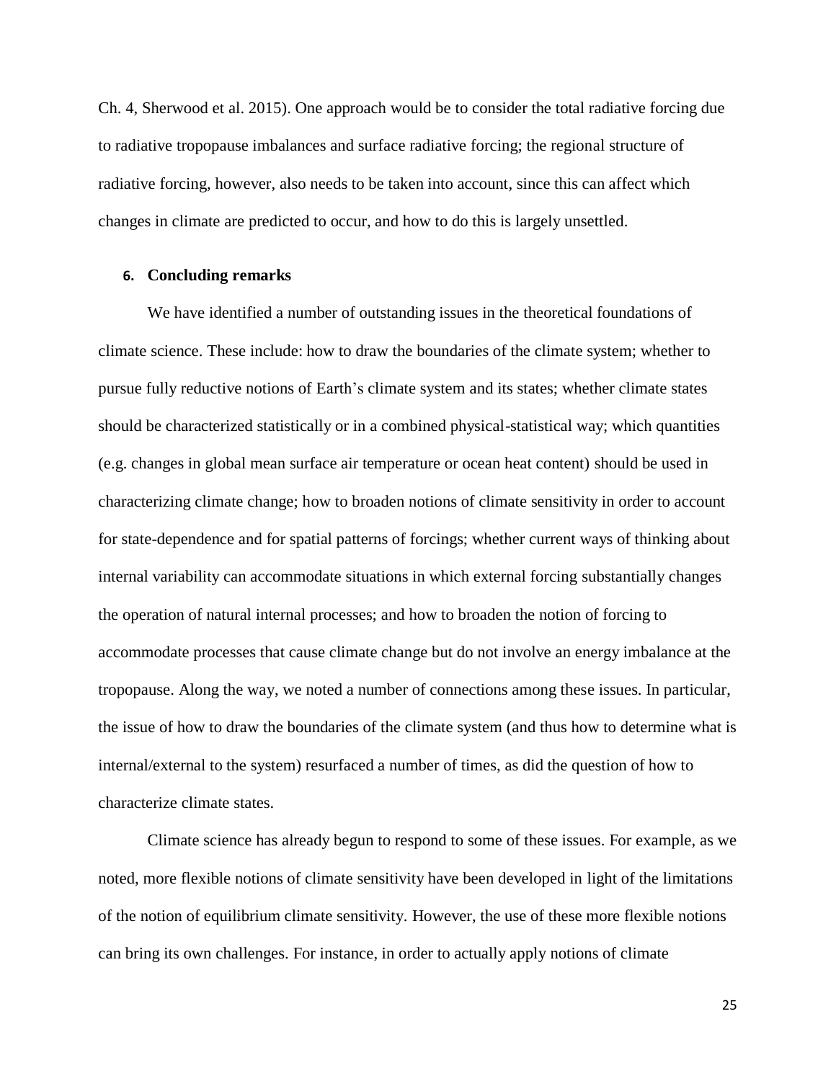Ch. 4, Sherwood et al. 2015). One approach would be to consider the total radiative forcing due to radiative tropopause imbalances and surface radiative forcing; the regional structure of radiative forcing, however, also needs to be taken into account, since this can affect which changes in climate are predicted to occur, and how to do this is largely unsettled.

#### **6. Concluding remarks**

We have identified a number of outstanding issues in the theoretical foundations of climate science. These include: how to draw the boundaries of the climate system; whether to pursue fully reductive notions of Earth's climate system and its states; whether climate states should be characterized statistically or in a combined physical-statistical way; which quantities (e.g. changes in global mean surface air temperature or ocean heat content) should be used in characterizing climate change; how to broaden notions of climate sensitivity in order to account for state-dependence and for spatial patterns of forcings; whether current ways of thinking about internal variability can accommodate situations in which external forcing substantially changes the operation of natural internal processes; and how to broaden the notion of forcing to accommodate processes that cause climate change but do not involve an energy imbalance at the tropopause. Along the way, we noted a number of connections among these issues. In particular, the issue of how to draw the boundaries of the climate system (and thus how to determine what is internal/external to the system) resurfaced a number of times, as did the question of how to characterize climate states.

Climate science has already begun to respond to some of these issues. For example, as we noted, more flexible notions of climate sensitivity have been developed in light of the limitations of the notion of equilibrium climate sensitivity. However, the use of these more flexible notions can bring its own challenges. For instance, in order to actually apply notions of climate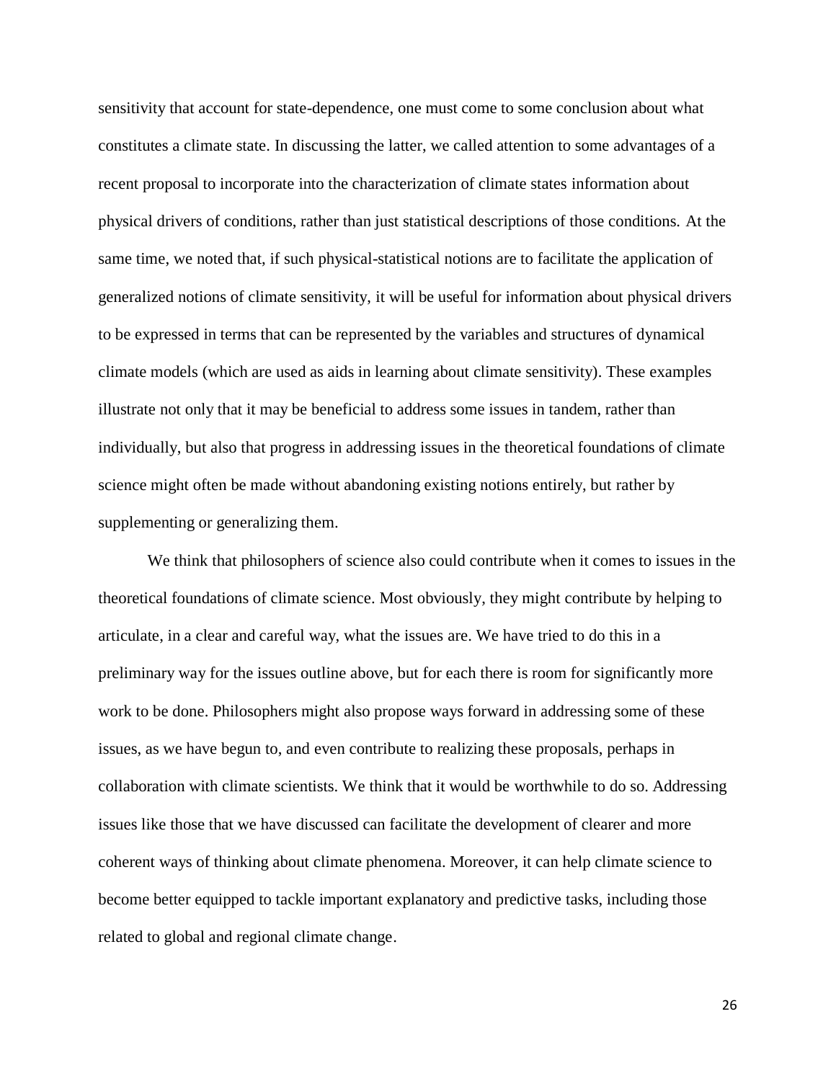sensitivity that account for state-dependence, one must come to some conclusion about what constitutes a climate state. In discussing the latter, we called attention to some advantages of a recent proposal to incorporate into the characterization of climate states information about physical drivers of conditions, rather than just statistical descriptions of those conditions. At the same time, we noted that, if such physical-statistical notions are to facilitate the application of generalized notions of climate sensitivity, it will be useful for information about physical drivers to be expressed in terms that can be represented by the variables and structures of dynamical climate models (which are used as aids in learning about climate sensitivity). These examples illustrate not only that it may be beneficial to address some issues in tandem, rather than individually, but also that progress in addressing issues in the theoretical foundations of climate science might often be made without abandoning existing notions entirely, but rather by supplementing or generalizing them.

We think that philosophers of science also could contribute when it comes to issues in the theoretical foundations of climate science. Most obviously, they might contribute by helping to articulate, in a clear and careful way, what the issues are. We have tried to do this in a preliminary way for the issues outline above, but for each there is room for significantly more work to be done. Philosophers might also propose ways forward in addressing some of these issues, as we have begun to, and even contribute to realizing these proposals, perhaps in collaboration with climate scientists. We think that it would be worthwhile to do so. Addressing issues like those that we have discussed can facilitate the development of clearer and more coherent ways of thinking about climate phenomena. Moreover, it can help climate science to become better equipped to tackle important explanatory and predictive tasks, including those related to global and regional climate change.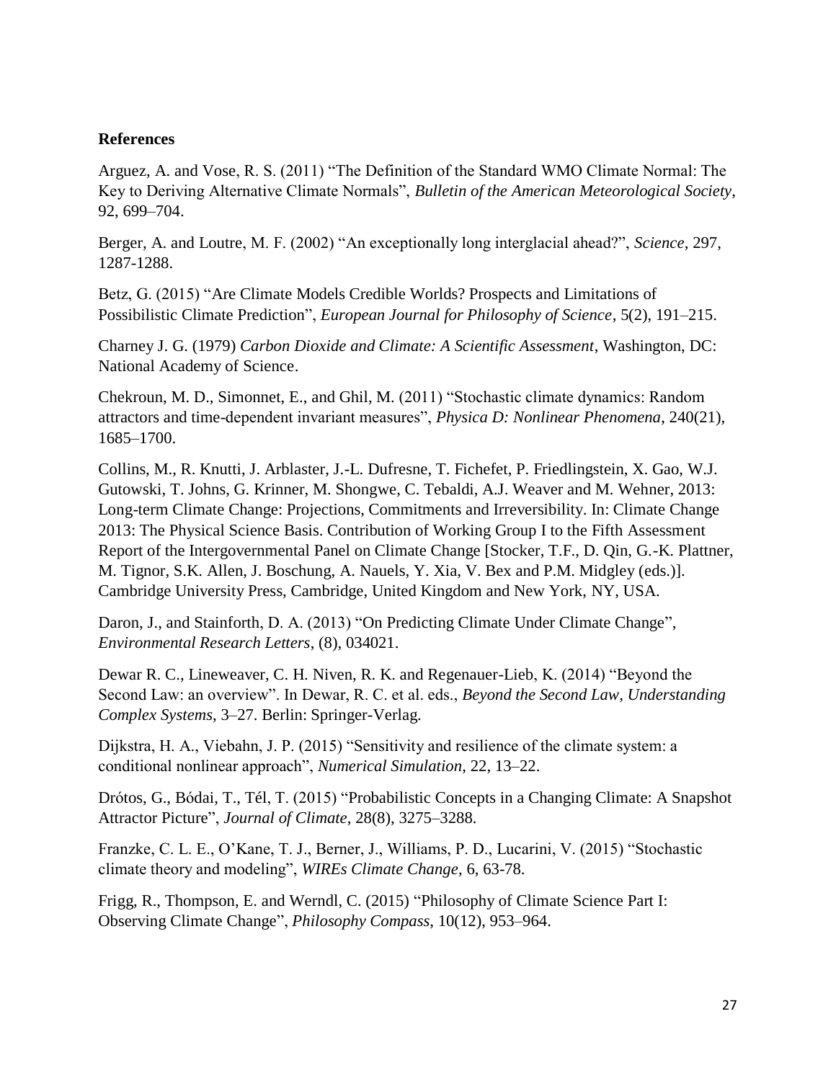# **References**

Arguez, A. and Vose, R. S. (2011) "The Definition of the Standard WMO Climate Normal: The Key to Deriving Alternative Climate Normals", *Bulletin of the American Meteorological Society*, 92, 699–704.

Berger, A. and Loutre, M. F. (2002) "An exceptionally long interglacial ahead?", *Science*, 297, 1287-1288.

Betz, G. (2015) "Are Climate Models Credible Worlds? Prospects and Limitations of Possibilistic Climate Prediction", *European Journal for Philosophy of Science*, 5(2), 191–215.

Charney J. G. (1979) *Carbon Dioxide and Climate: A Scientific Assessment*, Washington, DC: National Academy of Science.

Chekroun, M. D., Simonnet, E., and Ghil, M. (2011) "Stochastic climate dynamics: Random attractors and time-dependent invariant measures", *Physica D: Nonlinear Phenomena*, 240(21), 1685–1700.

Collins, M., R. Knutti, J. Arblaster, J.-L. Dufresne, T. Fichefet, P. Friedlingstein, X. Gao, W.J. Gutowski, T. Johns, G. Krinner, M. Shongwe, C. Tebaldi, A.J. Weaver and M. Wehner, 2013: Long-term Climate Change: Projections, Commitments and Irreversibility. In: Climate Change 2013: The Physical Science Basis. Contribution of Working Group I to the Fifth Assessment Report of the Intergovernmental Panel on Climate Change [Stocker, T.F., D. Qin, G.-K. Plattner, M. Tignor, S.K. Allen, J. Boschung, A. Nauels, Y. Xia, V. Bex and P.M. Midgley (eds.)]. Cambridge University Press, Cambridge, United Kingdom and New York, NY, USA.

Daron, J., and Stainforth, D. A. (2013) "On Predicting Climate Under Climate Change", *Environmental Research Letters*, (8), 034021.

Dewar R. C., Lineweaver, C. H. Niven, R. K. and Regenauer-Lieb, K. (2014) "Beyond the Second Law: an overview". In Dewar, R. C. et al. eds., *Beyond the Second Law*, *Understanding Complex Systems*, 3–27. Berlin: Springer-Verlag.

Dijkstra, H. A., Viebahn, J. P. (2015) "Sensitivity and resilience of the climate system: a conditional nonlinear approach", *Numerical Simulation*, 22, 13–22.

Drόtos, G., Bόdai, T., [Tél,](http://journals.ametsoc.org/author/T%C3%A9l%2C+Tam%C3%A1s) T. (2015) "Probabilistic Concepts in a Changing Climate: A Snapshot Attractor Picture", *Journal of Climate*, 28(8), 3275–3288.

Franzke, C. L. E., O'Kane, T. J., Berner, J., Williams, P. D., Lucarini, V. (2015) "Stochastic climate theory and modeling", *WIREs Climate Change*, 6, 63-78.

Frigg, R., Thompson, E. and Werndl, C. (2015) "Philosophy of Climate Science Part I: Observing Climate Change", *Philosophy Compass*, 10(12), 953–964.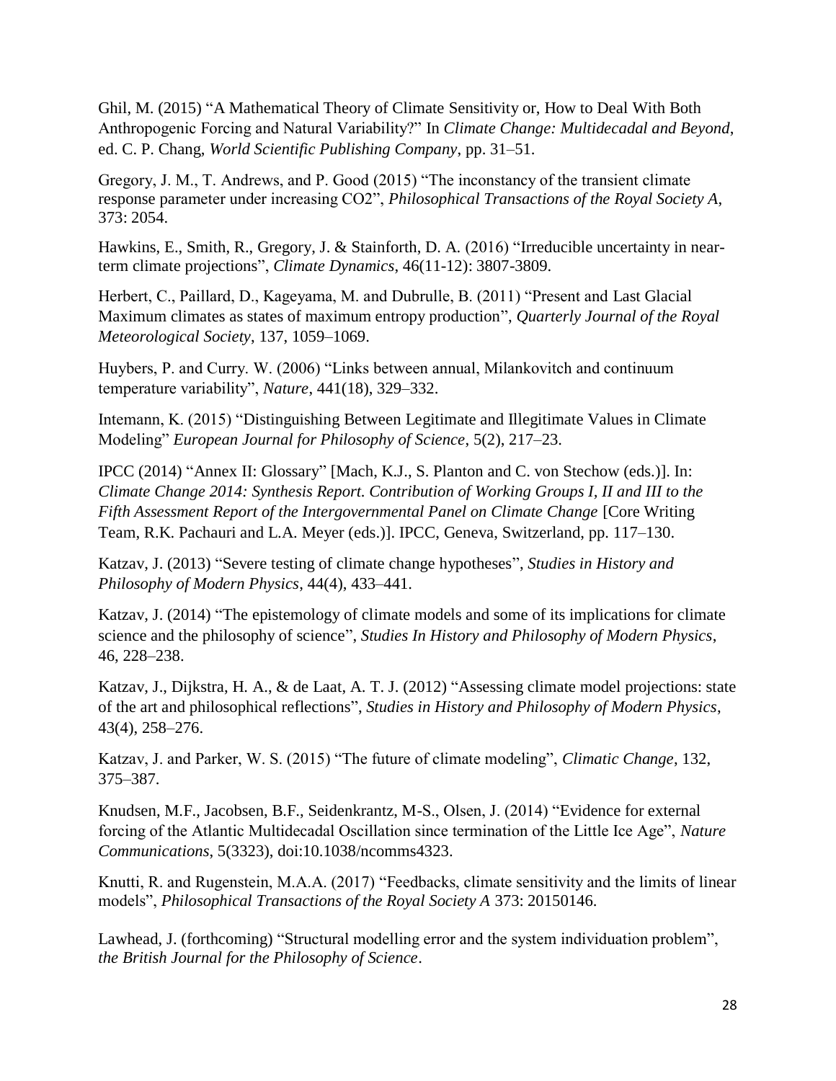Ghil, M. (2015) "A Mathematical Theory of Climate Sensitivity or, How to Deal With Both Anthropogenic Forcing and Natural Variability?" In *Climate Change: Multidecadal and Beyond*, ed. C. P. Chang, *World Scientific Publishing Company*, pp. 31–51.

Gregory, J. M., T. Andrews, and P. Good (2015) "The inconstancy of the transient climate response parameter under increasing CO2", *Philosophical Transactions of the Royal Society A*, 373: 2054.

Hawkins, E., Smith, R., Gregory, J. & Stainforth, D. A. (2016) "Irreducible uncertainty in nearterm climate projections", *Climate Dynamics*, 46(11-12): 3807-3809.

Herbert, C., Paillard, D., Kageyama, M. and Dubrulle, B. (2011) "Present and Last Glacial Maximum climates as states of maximum entropy production", *Quarterly Journal of the Royal Meteorological Society*, 137, 1059–1069.

Huybers, P. and Curry. W. (2006) "Links between annual, Milankovitch and continuum temperature variability", *Nature*, 441(18), 329–332.

Intemann, K. (2015) "Distinguishing Between Legitimate and Illegitimate Values in Climate Modeling" *European Journal for Philosophy of Science*, 5(2), 217–23.

IPCC (2014) "Annex II: Glossary" [Mach, K.J., S. Planton and C. von Stechow (eds.)]. In: *Climate Change 2014: Synthesis Report. Contribution of Working Groups I, II and III to the Fifth Assessment Report of the Intergovernmental Panel on Climate Change* [Core Writing Team, R.K. Pachauri and L.A. Meyer (eds.)]. IPCC, Geneva, Switzerland, pp. 117–130.

Katzav, J. (2013) "Severe testing of climate change hypotheses", *Studies in History and Philosophy of Modern Physics*, 44(4), 433–441.

Katzav, J. (2014) "The epistemology of climate models and some of its implications for climate science and the philosophy of science", *Studies In History and Philosophy of Modern Physics*, 46, 228–238.

Katzav, J., Dijkstra, H. A., & de Laat, A. T. J. (2012) "Assessing climate model projections: state of the art and philosophical reflections", *Studies in History and Philosophy of Modern Physics*, 43(4), 258–276.

Katzav, J. and Parker, W. S. (2015) "The future of climate modeling", *Climatic Change*, 132, 375–387.

Knudsen, M.F., Jacobsen, B.F., Seidenkrantz, M-S., Olsen, J. (2014) "Evidence for external forcing of the Atlantic Multidecadal Oscillation since termination of the Little Ice Age", *Nature Communications*, 5(3323), doi:10.1038/ncomms4323.

Knutti, R. and Rugenstein, M.A.A. (2017) "Feedbacks, climate sensitivity and the limits of linear models", *Philosophical Transactions of the Royal Society A* 373: 20150146.

Lawhead, J. (forthcoming) "Structural modelling error and the system individuation problem", *the British Journal for the Philosophy of Science*.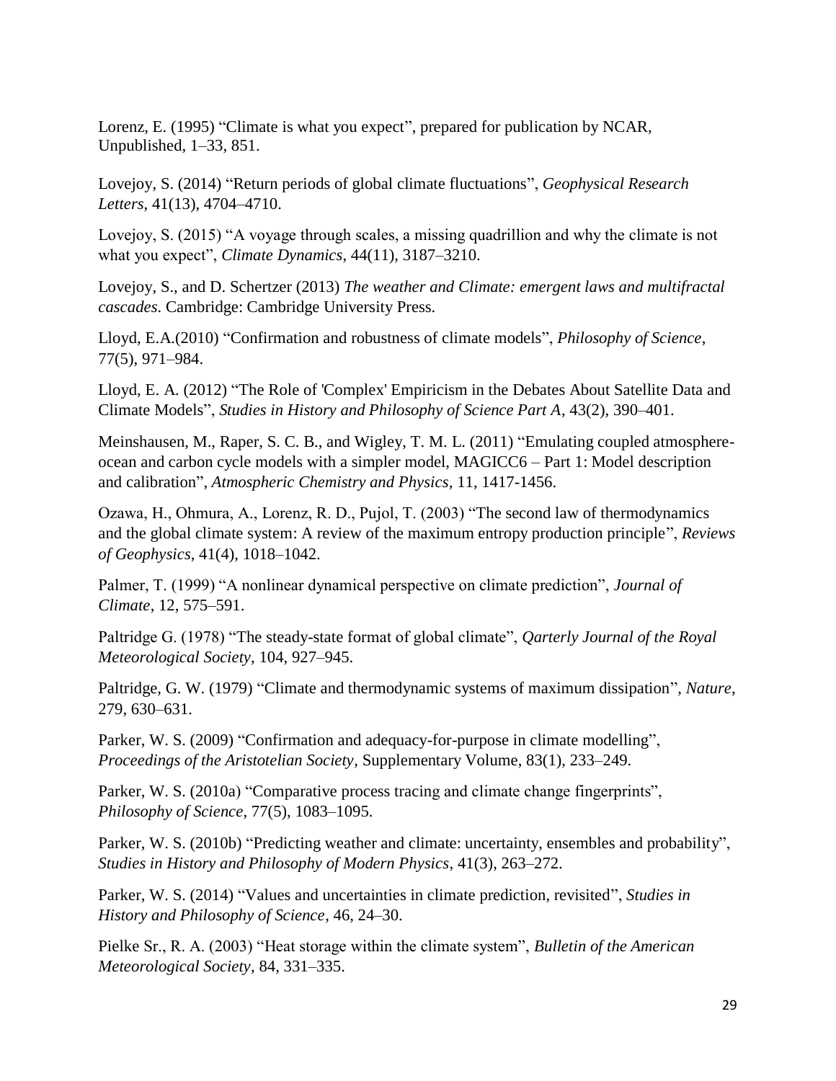Lorenz, E. (1995) "Climate is what you expect", prepared for publication by NCAR, Unpublished, 1–33, 851.

Lovejoy, S. (2014) "Return periods of global climate fluctuations", *Geophysical Research Letters*, 41(13), 4704–4710.

Lovejoy, S. (2015) "A voyage through scales, a missing quadrillion and why the climate is not what you expect", *Climate Dynamics*, 44(11), 3187–3210.

Lovejoy, S., and D. Schertzer (2013) *The weather and Climate: emergent laws and multifractal cascades*. Cambridge: Cambridge University Press.

Lloyd, E.A.(2010) "Confirmation and robustness of climate models", *Philosophy of Science*, 77(5), 971–984.

Lloyd, E. A. (2012) "The Role of 'Complex' Empiricism in the Debates About Satellite Data and Climate Models", *Studies in History and Philosophy of Science Part A*, 43(2), 390–401.

Meinshausen, M., Raper, S. C. B., and Wigley, T. M. L. (2011) "Emulating coupled atmosphereocean and carbon cycle models with a simpler model, MAGICC6 – Part 1: Model description and calibration", *Atmospheric Chemistry and Physics,* 11, 1417-1456.

Ozawa, H., Ohmura, A., Lorenz, R. D., Pujol, T. (2003) "The second law of thermodynamics and the global climate system: A review of the maximum entropy production principle", *Reviews of Geophysics*, 41(4), 1018–1042.

Palmer, T. (1999) "A nonlinear dynamical perspective on climate prediction", *Journal of Climate*, 12, 575–591.

Paltridge G. (1978) "The steady-state format of global climate", *Qarterly Journal of the Royal Meteorological Society*, 104, 927–945.

Paltridge, G. W. (1979) "Climate and thermodynamic systems of maximum dissipation", *Nature*, 279, 630–631.

Parker, W. S. (2009) "Confirmation and adequacy-for-purpose in climate modelling", *Proceedings of the Aristotelian Society*, Supplementary Volume, 83(1), 233–249.

Parker, W. S. (2010a) "Comparative process tracing and climate change fingerprints", *Philosophy of Science*, 77(5), 1083–1095.

Parker, W. S. (2010b) "Predicting weather and climate: uncertainty, ensembles and probability", *Studies in History and Philosophy of Modern Physics*, 41(3), 263–272.

Parker, W. S. (2014) "Values and uncertainties in climate prediction, revisited", *Studies in History and Philosophy of Science*, 46, 24–30.

Pielke Sr., R. A. (2003) "Heat storage within the climate system", *Bulletin of the American Meteorological Society*, 84, 331–335.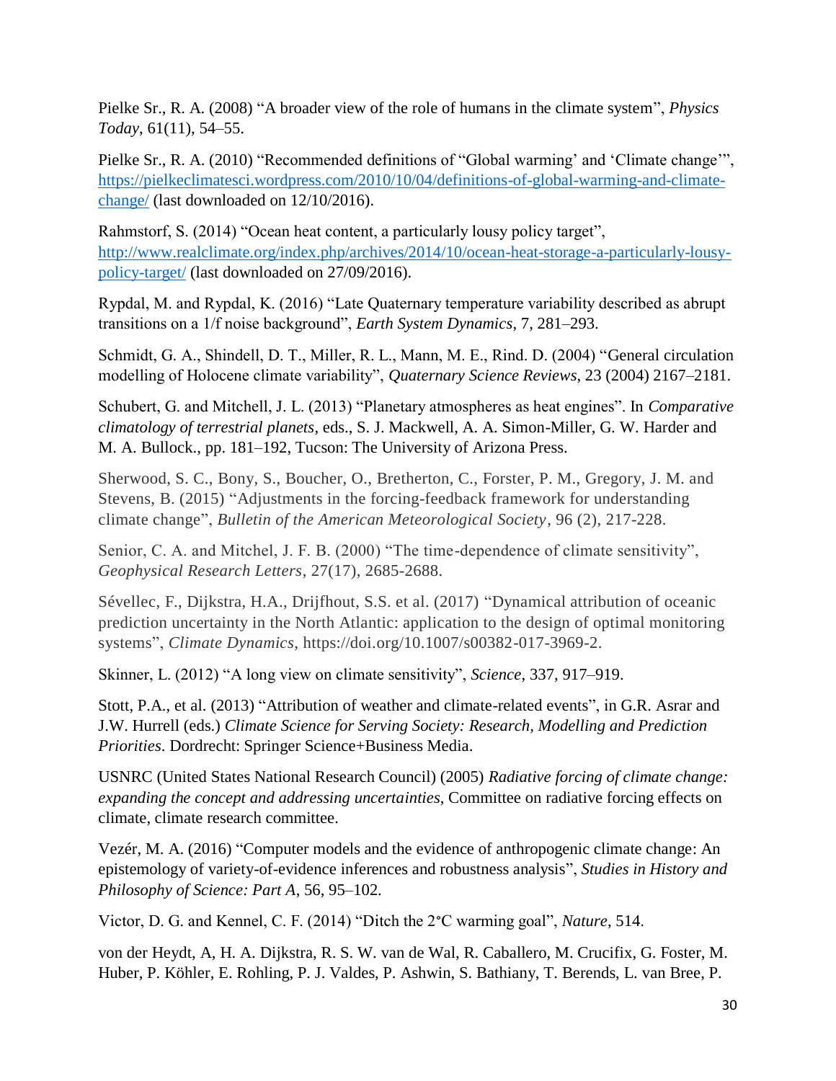Pielke Sr., R. A. (2008) "A broader view of the role of humans in the climate system", *Physics Today*, 61(11), 54–55.

Pielke Sr., R. A. (2010) "Recommended definitions of "Global warming' and 'Climate change'", [https://pielkeclimatesci.wordpress.com/2010/10/04/definitions-of-global-warming-and-climate](https://pielkeclimatesci.wordpress.com/2010/10/04/definitions-of-global-warming-and-climate-change/)[change/](https://pielkeclimatesci.wordpress.com/2010/10/04/definitions-of-global-warming-and-climate-change/) (last downloaded on 12/10/2016).

Rahmstorf, S. (2014) "Ocean heat content, a particularly lousy policy target", [http://www.realclimate.org/index.php/archives/2014/10/ocean-heat-storage-a-particularly-lousy](http://www.realclimate.org/index.php/archives/2014/10/ocean-heat-storage-a-particularly-lousy-policy-target/)[policy-target/](http://www.realclimate.org/index.php/archives/2014/10/ocean-heat-storage-a-particularly-lousy-policy-target/) (last downloaded on 27/09/2016).

Rypdal, M. and Rypdal, K. (2016) "Late Quaternary temperature variability described as abrupt transitions on a 1/f noise background", *Earth System Dynamics*, 7, 281–293.

Schmidt, G. A., Shindell, D. T., Miller, R. L., Mann, M. E., Rind. D. (2004) "General circulation modelling of Holocene climate variability", *Quaternary Science Reviews*, 23 (2004) 2167–2181.

Schubert, G. and Mitchell, J. L. (2013) "Planetary atmospheres as heat engines". In *Comparative climatology of terrestrial planets*, eds., S. J. Mackwell, A. A. Simon-Miller, G. W. Harder and M. A. Bullock., pp. 181–192, Tucson: The University of Arizona Press.

Sherwood, S. C., Bony, S., Boucher, O., Bretherton, C., Forster, P. M., Gregory, J. M. and Stevens, B. (2015) "Adjustments in the forcing-feedback framework for understanding climate change", *Bulletin of the American Meteorological Society*, 96 (2), 217-228.

Senior, C. A. and Mitchel, J. F. B. (2000) "The time-dependence of climate sensitivity", *Geophysical Research Letters*, 27(17), 2685-2688.

Sévellec, F., Dijkstra, H.A., Drijfhout, S.S. et al. (2017) "Dynamical attribution of oceanic prediction uncertainty in the North Atlantic: application to the design of optimal monitoring systems", *Climate Dynamics*, https://doi.org/10.1007/s00382-017-3969-2.

Skinner, L. (2012) "A long view on climate sensitivity", *Science*, 337, 917–919.

Stott, P.A., et al. (2013) "Attribution of weather and climate-related events", in G.R. Asrar and J.W. Hurrell (eds.) *Climate Science for Serving Society: Research, Modelling and Prediction Priorities*. Dordrecht: Springer Science+Business Media.

USNRC (United States National Research Council) (2005) *Radiative forcing of climate change: expanding the concept and addressing uncertainties*, Committee on radiative forcing effects on climate, climate research committee.

Vezér, M. A. (2016) "Computer models and the evidence of anthropogenic climate change: An epistemology of variety-of-evidence inferences and robustness analysis", *Studies in History and Philosophy of Science: Part A*, 56, 95–102.

Victor, D. G. and Kennel, C. F. (2014) "Ditch the 2°C warming goal", *Nature*, 514.

von der Heydt, A, H. A. Dijkstra, R. S. W. van de Wal, R. Caballero, M. Crucifix, G. Foster, M. Huber, P. Köhler, E. Rohling, P. J. Valdes, P. Ashwin, S. Bathiany, T. Berends, L. van Bree, P.